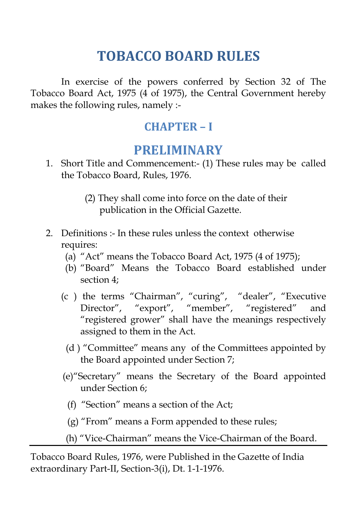# **TOBACCO BOARD RULES**

In exercise of the powers conferred by Section 32 of The Tobacco Board Act, 1975 (4 of 1975), the Central Government hereby makes the following rules, namely :-

## **CHAPTER – I**

## **PRELIMINARY**

- 1. Short Title and Commencement:- (1) These rules may be called the Tobacco Board, Rules, 1976.
	- (2) They shall come into force on the date of their publication in the Official Gazette.
- 2. Definitions :- In these rules unless the context otherwise requires:
	- (a) "Act" means the Tobacco Board Act, 1975 (4 of 1975);
	- (b) "Board" Means the Tobacco Board established under section 4;
	- (c ) the terms "Chairman", "curing", "dealer", "Executive Director", "export", "member", "registered" and "registered grower" shall have the meanings respectively assigned to them in the Act.
		- (d ) "Committee" means any of the Committees appointed by the Board appointed under Section 7;
	- (e)"Secretary" means the Secretary of the Board appointed under Section 6;
		- (f) "Section" means a section of the Act;
		- (g) "From" means a Form appended to these rules;
	- (h) "Vice-Chairman" means the Vice-Chairman of the Board.

Tobacco Board Rules, 1976, were Published in the Gazette of India extraordinary Part-II, Section-3(i), Dt. 1-1-1976.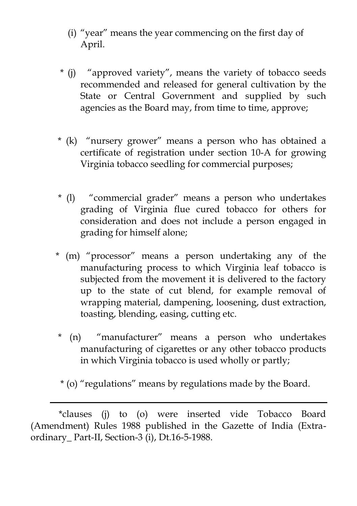- (i) "year" means the year commencing on the first day of April.
- \* (j) "approved variety", means the variety of tobacco seeds recommended and released for general cultivation by the State or Central Government and supplied by such agencies as the Board may, from time to time, approve;
- \* (k) "nursery grower" means a person who has obtained a certificate of registration under section 10-A for growing Virginia tobacco seedling for commercial purposes;
- \* (l) "commercial grader" means a person who undertakes grading of Virginia flue cured tobacco for others for consideration and does not include a person engaged in grading for himself alone;
- \* (m) "processor" means a person undertaking any of the manufacturing process to which Virginia leaf tobacco is subjected from the movement it is delivered to the factory up to the state of cut blend, for example removal of wrapping material, dampening, loosening, dust extraction, toasting, blending, easing, cutting etc.
- \* (n) "manufacturer" means a person who undertakes manufacturing of cigarettes or any other tobacco products in which Virginia tobacco is used wholly or partly;
- \* (o) "regulations" means by regulations made by the Board.

 <sup>\*</sup>clauses (j) to (o) were inserted vide Tobacco Board (Amendment) Rules 1988 published in the Gazette of India (Extraordinary\_ Part-II, Section-3 (i), Dt.16-5-1988.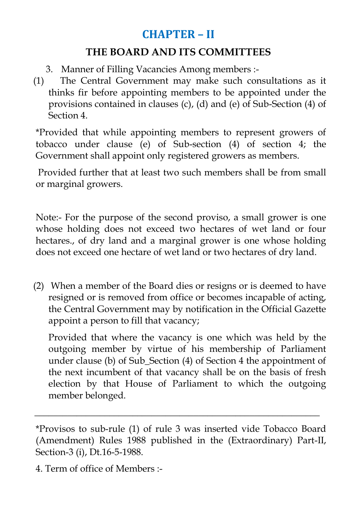## **CHAPTER – II**

### **THE BOARD AND ITS COMMITTEES**

- 3. Manner of Filling Vacancies Among members :-
- (1) The Central Government may make such consultations as it thinks fir before appointing members to be appointed under the provisions contained in clauses (c), (d) and (e) of Sub-Section (4) of Section 4.

\*Provided that while appointing members to represent growers of tobacco under clause (e) of Sub-section (4) of section 4; the Government shall appoint only registered growers as members.

Provided further that at least two such members shall be from small or marginal growers.

Note:- For the purpose of the second proviso, a small grower is one whose holding does not exceed two hectares of wet land or four hectares., of dry land and a marginal grower is one whose holding does not exceed one hectare of wet land or two hectares of dry land.

(2) When a member of the Board dies or resigns or is deemed to have resigned or is removed from office or becomes incapable of acting, the Central Government may by notification in the Official Gazette appoint a person to fill that vacancy;

Provided that where the vacancy is one which was held by the outgoing member by virtue of his membership of Parliament under clause (b) of Sub\_Section (4) of Section 4 the appointment of the next incumbent of that vacancy shall be on the basis of fresh election by that House of Parliament to which the outgoing member belonged.

\_\_\_\_\_\_\_\_\_\_\_\_\_\_\_\_\_\_\_\_\_\_\_\_\_\_\_\_\_\_\_\_\_\_\_\_\_\_\_\_\_\_\_\_\_\_\_\_\_\_\_\_\_\_\_\_\_\_\_\_\_

<sup>\*</sup>Provisos to sub-rule (1) of rule 3 was inserted vide Tobacco Board (Amendment) Rules 1988 published in the (Extraordinary) Part-II, Section-3 (i), Dt.16-5-1988.

<sup>4.</sup> Term of office of Members :-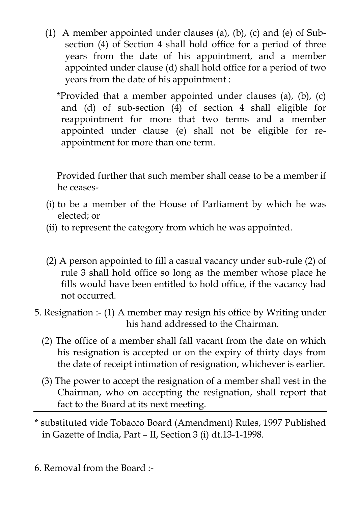- (1) A member appointed under clauses (a), (b), (c) and (e) of Subsection (4) of Section 4 shall hold office for a period of three years from the date of his appointment, and a member appointed under clause (d) shall hold office for a period of two years from the date of his appointment :
	- \*Provided that a member appointed under clauses (a), (b), (c) and (d) of sub-section (4) of section 4 shall eligible for reappointment for more that two terms and a member appointed under clause (e) shall not be eligible for reappointment for more than one term.

 Provided further that such member shall cease to be a member if he ceases-

- (i) to be a member of the House of Parliament by which he was elected; or
- (ii) to represent the category from which he was appointed.
- (2) A person appointed to fill a casual vacancy under sub-rule (2) of rule 3 shall hold office so long as the member whose place he fills would have been entitled to hold office, if the vacancy had not occurred.
- 5. Resignation :- (1) A member may resign his office by Writing under his hand addressed to the Chairman.
	- (2) The office of a member shall fall vacant from the date on which his resignation is accepted or on the expiry of thirty days from the date of receipt intimation of resignation, whichever is earlier.
	- (3) The power to accept the resignation of a member shall vest in the Chairman, who on accepting the resignation, shall report that fact to the Board at its next meeting.
- \* substituted vide Tobacco Board (Amendment) Rules, 1997 Published in Gazette of India, Part – II, Section 3 (i) dt.13-1-1998.

6. Removal from the Board :-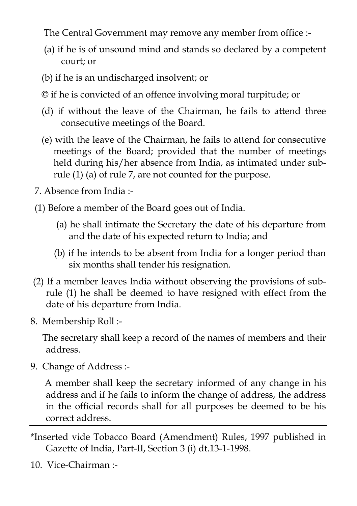The Central Government may remove any member from office :-

- (a) if he is of unsound mind and stands so declared by a competent court; or
- (b) if he is an undischarged insolvent; or
- © if he is convicted of an offence involving moral turpitude; or
- (d) if without the leave of the Chairman, he fails to attend three consecutive meetings of the Board.
- (e) with the leave of the Chairman, he fails to attend for consecutive meetings of the Board; provided that the number of meetings held during his/her absence from India, as intimated under subrule (1) (a) of rule 7, are not counted for the purpose.
- 7. Absence from India :-
- (1) Before a member of the Board goes out of India.
	- (a) he shall intimate the Secretary the date of his departure from and the date of his expected return to India; and
	- (b) if he intends to be absent from India for a longer period than six months shall tender his resignation.
- (2) If a member leaves India without observing the provisions of subrule (1) he shall be deemed to have resigned with effect from the date of his departure from India.
- 8. Membership Roll :-

 The secretary shall keep a record of the names of members and their address.

9. Change of Address :-

 A member shall keep the secretary informed of any change in his address and if he fails to inform the change of address, the address in the official records shall for all purposes be deemed to be his correct address.

- \*Inserted vide Tobacco Board (Amendment) Rules, 1997 published in Gazette of India, Part-II, Section 3 (i) dt.13-1-1998.
- 10. Vice-Chairman :-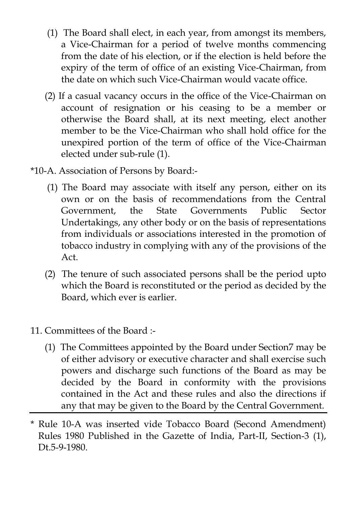- (1) The Board shall elect, in each year, from amongst its members, a Vice-Chairman for a period of twelve months commencing from the date of his election, or if the election is held before the expiry of the term of office of an existing Vice-Chairman, from the date on which such Vice-Chairman would vacate office.
- (2) If a casual vacancy occurs in the office of the Vice-Chairman on account of resignation or his ceasing to be a member or otherwise the Board shall, at its next meeting, elect another member to be the Vice-Chairman who shall hold office for the unexpired portion of the term of office of the Vice-Chairman elected under sub-rule (1).
- \*10-A. Association of Persons by Board:-
	- (1) The Board may associate with itself any person, either on its own or on the basis of recommendations from the Central Government, the State Governments Public Sector Undertakings, any other body or on the basis of representations from individuals or associations interested in the promotion of tobacco industry in complying with any of the provisions of the Act.
	- (2) The tenure of such associated persons shall be the period upto which the Board is reconstituted or the period as decided by the Board, which ever is earlier.
- 11. Committees of the Board :-
	- (1) The Committees appointed by the Board under Section7 may be of either advisory or executive character and shall exercise such powers and discharge such functions of the Board as may be decided by the Board in conformity with the provisions contained in the Act and these rules and also the directions if any that may be given to the Board by the Central Government.
- \* Rule 10-A was inserted vide Tobacco Board (Second Amendment) Rules 1980 Published in the Gazette of India, Part-II, Section-3 (1), Dt.5-9-1980.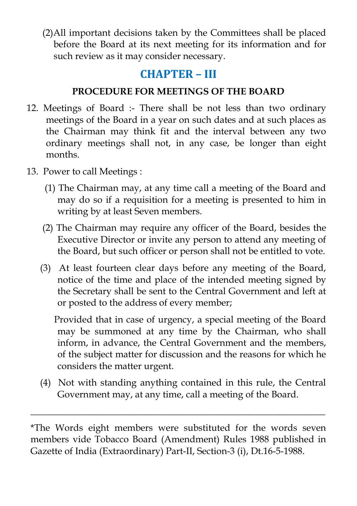(2)All important decisions taken by the Committees shall be placed before the Board at its next meeting for its information and for such review as it may consider necessary.

## **CHAPTER – III**

### **PROCEDURE FOR MEETINGS OF THE BOARD**

- 12. Meetings of Board :- There shall be not less than two ordinary meetings of the Board in a year on such dates and at such places as the Chairman may think fit and the interval between any two ordinary meetings shall not, in any case, be longer than eight months.
- 13. Power to call Meetings :
	- (1) The Chairman may, at any time call a meeting of the Board and may do so if a requisition for a meeting is presented to him in writing by at least Seven members.
	- (2) The Chairman may require any officer of the Board, besides the Executive Director or invite any person to attend any meeting of the Board, but such officer or person shall not be entitled to vote.
	- (3) At least fourteen clear days before any meeting of the Board, notice of the time and place of the intended meeting signed by the Secretary shall be sent to the Central Government and left at or posted to the address of every member;

 Provided that in case of urgency, a special meeting of the Board may be summoned at any time by the Chairman, who shall inform, in advance, the Central Government and the members, of the subject matter for discussion and the reasons for which he considers the matter urgent.

 (4) Not with standing anything contained in this rule, the Central Government may, at any time, call a meeting of the Board.

\_\_\_\_\_\_\_\_\_\_\_\_\_\_\_\_\_\_\_\_\_\_\_\_\_\_\_\_\_\_\_\_\_\_\_\_\_\_\_\_\_\_\_\_\_\_\_\_\_\_\_\_\_\_\_\_\_\_\_\_\_\_\_

<sup>\*</sup>The Words eight members were substituted for the words seven members vide Tobacco Board (Amendment) Rules 1988 published in Gazette of India (Extraordinary) Part-II, Section-3 (i), Dt.16-5-1988.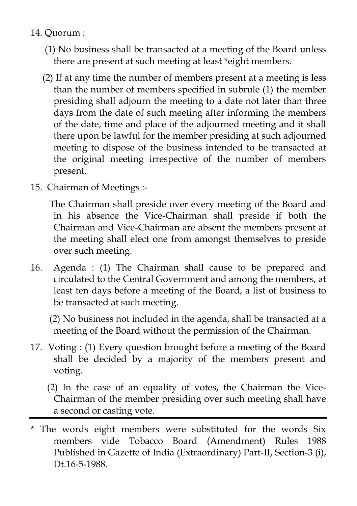- 14. Quorum :
	- (1) No business shall be transacted at a meeting of the Board unless there are present at such meeting at least \*eight members.
	- (2) If at any time the number of members present at a meeting is less than the number of members specified in subrule (1) the member presiding shall adjourn the meeting to a date not later than three days from the date of such meeting after informing the members of the date, time and place of the adjourned meeting and it shall there upon be lawful for the member presiding at such adjourned meeting to dispose of the business intended to be transacted at the original meeting irrespective of the number of members present.
- 15. Chairman of Meetings :-

 The Chairman shall preside over every meeting of the Board and in his absence the Vice-Chairman shall preside if both the Chairman and Vice-Chairman are absent the members present at the meeting shall elect one from amongst themselves to preside over such meeting.

16. Agenda : (1) The Chairman shall cause to be prepared and circulated to the Central Government and among the members, at least ten days before a meeting of the Board, a list of business to be transacted at such meeting.

 (2) No business not included in the agenda, shall be transacted at a meeting of the Board without the permission of the Chairman.

- 17. Voting : (1) Every question brought before a meeting of the Board shall be decided by a majority of the members present and voting.
	- (2) In the case of an equality of votes, the Chairman the Vice-Chairman of the member presiding over such meeting shall have a second or casting vote.
- \* The words eight members were substituted for the words Six members vide Tobacco Board (Amendment) Rules 1988 Published in Gazette of India (Extraordinary) Part-II, Section-3 (i), Dt.16-5-1988.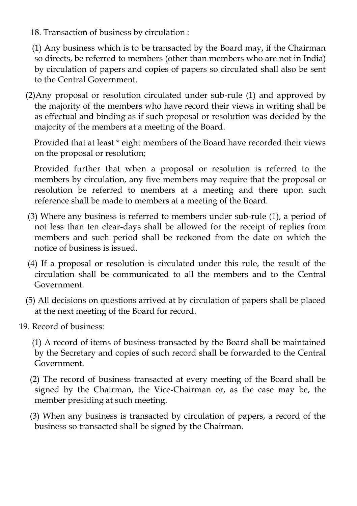18. Transaction of business by circulation :

 (1) Any business which is to be transacted by the Board may, if the Chairman so directs, be referred to members (other than members who are not in India) by circulation of papers and copies of papers so circulated shall also be sent to the Central Government.

 (2)Any proposal or resolution circulated under sub-rule (1) and approved by the majority of the members who have record their views in writing shall be as effectual and binding as if such proposal or resolution was decided by the majority of the members at a meeting of the Board.

 Provided that at least \* eight members of the Board have recorded their views on the proposal or resolution;

 Provided further that when a proposal or resolution is referred to the members by circulation, any five members may require that the proposal or resolution be referred to members at a meeting and there upon such reference shall be made to members at a meeting of the Board.

- (3) Where any business is referred to members under sub-rule (1), a period of not less than ten clear-days shall be allowed for the receipt of replies from members and such period shall be reckoned from the date on which the notice of business is issued.
- (4) If a proposal or resolution is circulated under this rule, the result of the circulation shall be communicated to all the members and to the Central Government.
- (5) All decisions on questions arrived at by circulation of papers shall be placed at the next meeting of the Board for record.
- 19. Record of business:
	- (1) A record of items of business transacted by the Board shall be maintained by the Secretary and copies of such record shall be forwarded to the Central Government.
	- (2) The record of business transacted at every meeting of the Board shall be signed by the Chairman, the Vice-Chairman or, as the case may be, the member presiding at such meeting.
	- (3) When any business is transacted by circulation of papers, a record of the business so transacted shall be signed by the Chairman.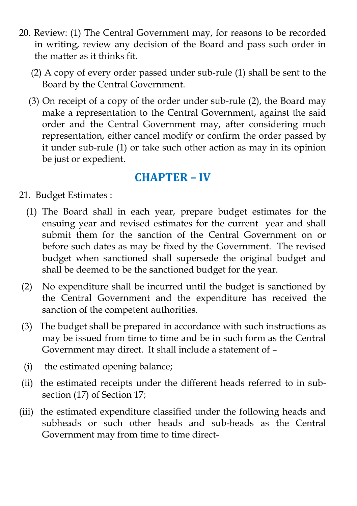- 20. Review: (1) The Central Government may, for reasons to be recorded in writing, review any decision of the Board and pass such order in the matter as it thinks fit.
	- (2) A copy of every order passed under sub-rule (1) shall be sent to the Board by the Central Government.
	- (3) On receipt of a copy of the order under sub-rule (2), the Board may make a representation to the Central Government, against the said order and the Central Government may, after considering much representation, either cancel modify or confirm the order passed by it under sub-rule (1) or take such other action as may in its opinion be just or expedient.

## **CHAPTER – IV**

- 21. Budget Estimates :
	- (1) The Board shall in each year, prepare budget estimates for the ensuing year and revised estimates for the current year and shall submit them for the sanction of the Central Government on or before such dates as may be fixed by the Government. The revised budget when sanctioned shall supersede the original budget and shall be deemed to be the sanctioned budget for the year.
- (2) No expenditure shall be incurred until the budget is sanctioned by the Central Government and the expenditure has received the sanction of the competent authorities.
- (3) The budget shall be prepared in accordance with such instructions as may be issued from time to time and be in such form as the Central Government may direct. It shall include a statement of –
- (i) the estimated opening balance;
- (ii) the estimated receipts under the different heads referred to in subsection (17) of Section 17;
- (iii) the estimated expenditure classified under the following heads and subheads or such other heads and sub-heads as the Central Government may from time to time direct-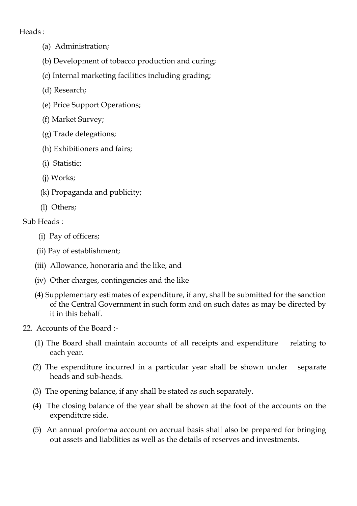#### Heads :

- (a) Administration;
- (b) Development of tobacco production and curing;
- (c) Internal marketing facilities including grading;
- (d) Research;
- (e) Price Support Operations;
- (f) Market Survey;
- (g) Trade delegations;
- (h) Exhibitioners and fairs;
- (i) Statistic;
- (j) Works;
- (k) Propaganda and publicity;
- (l) Others;

#### Sub Heads :

- (i) Pay of officers;
- (ii) Pay of establishment;
- (iii) Allowance, honoraria and the like, and
- (iv) Other charges, contingencies and the like
- (4) Supplementary estimates of expenditure, if any, shall be submitted for the sanction of the Central Government in such form and on such dates as may be directed by it in this behalf.
- 22. Accounts of the Board :-
	- (1) The Board shall maintain accounts of all receipts and expenditure relating to each year.
	- (2) The expenditure incurred in a particular year shall be shown under separate heads and sub-heads.
	- (3) The opening balance, if any shall be stated as such separately.
	- (4) The closing balance of the year shall be shown at the foot of the accounts on the expenditure side.
	- (5) An annual proforma account on accrual basis shall also be prepared for bringing out assets and liabilities as well as the details of reserves and investments.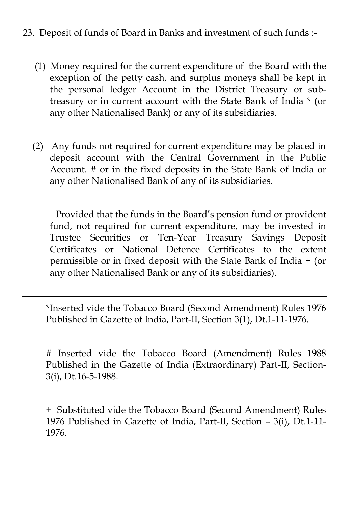#### 23. Deposit of funds of Board in Banks and investment of such funds :-

- (1) Money required for the current expenditure of the Board with the exception of the petty cash, and surplus moneys shall be kept in the personal ledger Account in the District Treasury or subtreasury or in current account with the State Bank of India \* (or any other Nationalised Bank) or any of its subsidiaries.
- (2) Any funds not required for current expenditure may be placed in deposit account with the Central Government in the Public Account. # or in the fixed deposits in the State Bank of India or any other Nationalised Bank of any of its subsidiaries.

 Provided that the funds in the Board"s pension fund or provident fund, not required for current expenditure, may be invested in Trustee Securities or Ten-Year Treasury Savings Deposit Certificates or National Defence Certificates to the extent permissible or in fixed deposit with the State Bank of India + (or any other Nationalised Bank or any of its subsidiaries).

\*Inserted vide the Tobacco Board (Second Amendment) Rules 1976 Published in Gazette of India, Part-II, Section 3(1), Dt.1-11-1976.

# Inserted vide the Tobacco Board (Amendment) Rules 1988 Published in the Gazette of India (Extraordinary) Part-II, Section-3(i), Dt.16-5-1988.

+ Substituted vide the Tobacco Board (Second Amendment) Rules 1976 Published in Gazette of India, Part-II, Section – 3(i), Dt.1-11- 1976.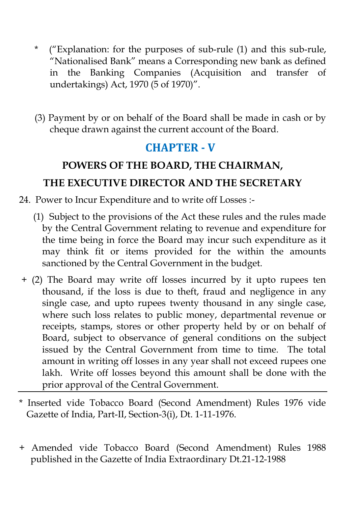- \* ("Explanation: for the purposes of sub-rule (1) and this sub-rule, "Nationalised Bank" means a Corresponding new bank as defined in the Banking Companies (Acquisition and transfer of undertakings) Act, 1970 (5 of 1970)".
- (3) Payment by or on behalf of the Board shall be made in cash or by cheque drawn against the current account of the Board.

## **CHAPTER - V**

# **POWERS OF THE BOARD, THE CHAIRMAN, THE EXECUTIVE DIRECTOR AND THE SECRETARY**

- 24. Power to Incur Expenditure and to write off Losses :-
	- (1) Subject to the provisions of the Act these rules and the rules made by the Central Government relating to revenue and expenditure for the time being in force the Board may incur such expenditure as it may think fit or items provided for the within the amounts sanctioned by the Central Government in the budget.
- + (2) The Board may write off losses incurred by it upto rupees ten thousand, if the loss is due to theft, fraud and negligence in any single case, and upto rupees twenty thousand in any single case, where such loss relates to public money, departmental revenue or receipts, stamps, stores or other property held by or on behalf of Board, subject to observance of general conditions on the subject issued by the Central Government from time to time. The total amount in writing off losses in any year shall not exceed rupees one lakh. Write off losses beyond this amount shall be done with the prior approval of the Central Government.
- Inserted vide Tobacco Board (Second Amendment) Rules 1976 vide Gazette of India, Part-II, Section-3(i), Dt. 1-11-1976.
- + Amended vide Tobacco Board (Second Amendment) Rules 1988 published in the Gazette of India Extraordinary Dt.21-12-1988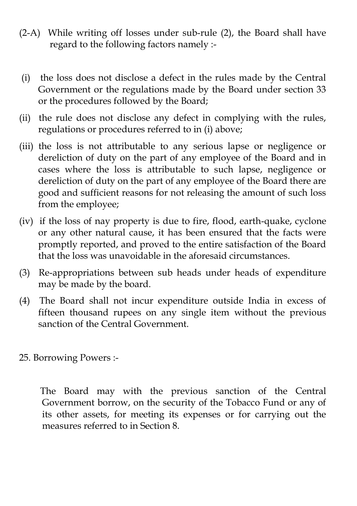- (2-A) While writing off losses under sub-rule (2), the Board shall have regard to the following factors namely :-
- (i) the loss does not disclose a defect in the rules made by the Central Government or the regulations made by the Board under section 33 or the procedures followed by the Board;
- (ii) the rule does not disclose any defect in complying with the rules, regulations or procedures referred to in (i) above;
- (iii) the loss is not attributable to any serious lapse or negligence or dereliction of duty on the part of any employee of the Board and in cases where the loss is attributable to such lapse, negligence or dereliction of duty on the part of any employee of the Board there are good and sufficient reasons for not releasing the amount of such loss from the employee;
- (iv) if the loss of nay property is due to fire, flood, earth-quake, cyclone or any other natural cause, it has been ensured that the facts were promptly reported, and proved to the entire satisfaction of the Board that the loss was unavoidable in the aforesaid circumstances.
- (3) Re-appropriations between sub heads under heads of expenditure may be made by the board.
- (4) The Board shall not incur expenditure outside India in excess of fifteen thousand rupees on any single item without the previous sanction of the Central Government.
- 25. Borrowing Powers :-

 The Board may with the previous sanction of the Central Government borrow, on the security of the Tobacco Fund or any of its other assets, for meeting its expenses or for carrying out the measures referred to in Section 8.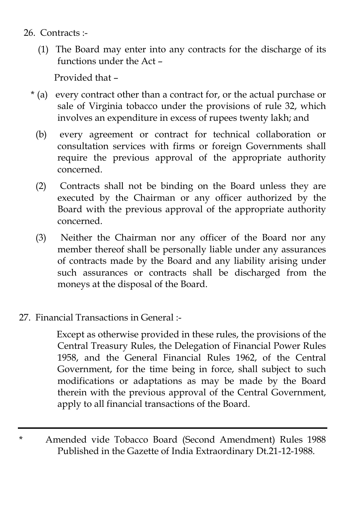- 26. Contracts :-
	- (1) The Board may enter into any contracts for the discharge of its functions under the Act –

Provided that –

- \* (a) every contract other than a contract for, or the actual purchase or sale of Virginia tobacco under the provisions of rule 32, which involves an expenditure in excess of rupees twenty lakh; and
	- (b) every agreement or contract for technical collaboration or consultation services with firms or foreign Governments shall require the previous approval of the appropriate authority concerned.
	- (2) Contracts shall not be binding on the Board unless they are executed by the Chairman or any officer authorized by the Board with the previous approval of the appropriate authority concerned.
	- (3) Neither the Chairman nor any officer of the Board nor any member thereof shall be personally liable under any assurances of contracts made by the Board and any liability arising under such assurances or contracts shall be discharged from the moneys at the disposal of the Board.

### 27. Financial Transactions in General :-

 Except as otherwise provided in these rules, the provisions of the Central Treasury Rules, the Delegation of Financial Power Rules 1958, and the General Financial Rules 1962, of the Central Government, for the time being in force, shall subject to such modifications or adaptations as may be made by the Board therein with the previous approval of the Central Government, apply to all financial transactions of the Board.

\* Amended vide Tobacco Board (Second Amendment) Rules 1988 Published in the Gazette of India Extraordinary Dt.21-12-1988.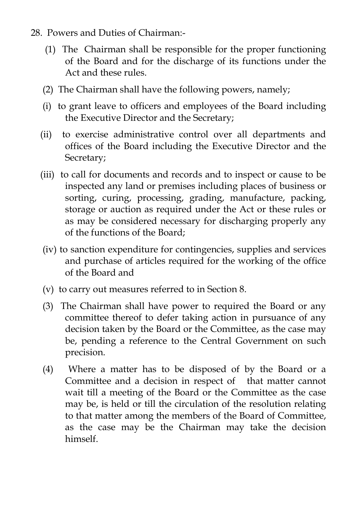- 28. Powers and Duties of Chairman:
	- (1) The Chairman shall be responsible for the proper functioning of the Board and for the discharge of its functions under the Act and these rules.
	- (2) The Chairman shall have the following powers, namely;
	- (i) to grant leave to officers and employees of the Board including the Executive Director and the Secretary;
	- (ii) to exercise administrative control over all departments and offices of the Board including the Executive Director and the Secretary;
	- (iii) to call for documents and records and to inspect or cause to be inspected any land or premises including places of business or sorting, curing, processing, grading, manufacture, packing, storage or auction as required under the Act or these rules or as may be considered necessary for discharging properly any of the functions of the Board;
	- (iv) to sanction expenditure for contingencies, supplies and services and purchase of articles required for the working of the office of the Board and
	- (v) to carry out measures referred to in Section 8.
	- (3) The Chairman shall have power to required the Board or any committee thereof to defer taking action in pursuance of any decision taken by the Board or the Committee, as the case may be, pending a reference to the Central Government on such precision.
	- (4) Where a matter has to be disposed of by the Board or a Committee and a decision in respect of that matter cannot wait till a meeting of the Board or the Committee as the case may be, is held or till the circulation of the resolution relating to that matter among the members of the Board of Committee, as the case may be the Chairman may take the decision himself.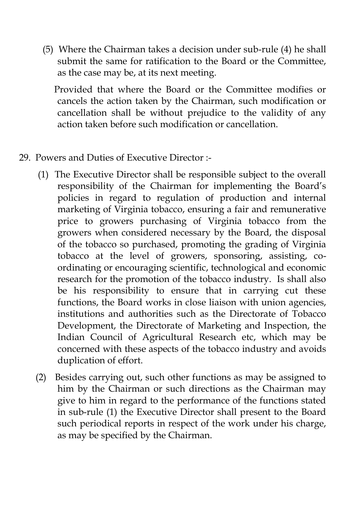(5) Where the Chairman takes a decision under sub-rule (4) he shall submit the same for ratification to the Board or the Committee, as the case may be, at its next meeting.

 Provided that where the Board or the Committee modifies or cancels the action taken by the Chairman, such modification or cancellation shall be without prejudice to the validity of any action taken before such modification or cancellation.

#### 29. Powers and Duties of Executive Director :-

- (1) The Executive Director shall be responsible subject to the overall responsibility of the Chairman for implementing the Board"s policies in regard to regulation of production and internal marketing of Virginia tobacco, ensuring a fair and remunerative price to growers purchasing of Virginia tobacco from the growers when considered necessary by the Board, the disposal of the tobacco so purchased, promoting the grading of Virginia tobacco at the level of growers, sponsoring, assisting, coordinating or encouraging scientific, technological and economic research for the promotion of the tobacco industry. Is shall also be his responsibility to ensure that in carrying cut these functions, the Board works in close liaison with union agencies, institutions and authorities such as the Directorate of Tobacco Development, the Directorate of Marketing and Inspection, the Indian Council of Agricultural Research etc, which may be concerned with these aspects of the tobacco industry and avoids duplication of effort.
- (2) Besides carrying out, such other functions as may be assigned to him by the Chairman or such directions as the Chairman may give to him in regard to the performance of the functions stated in sub-rule (1) the Executive Director shall present to the Board such periodical reports in respect of the work under his charge, as may be specified by the Chairman.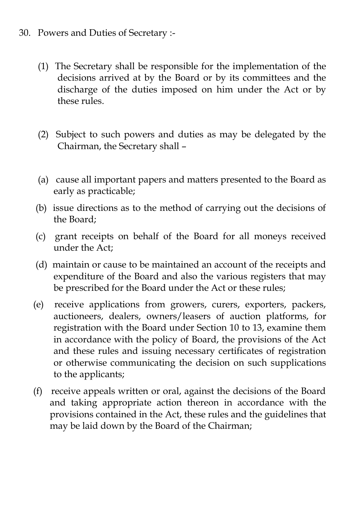#### 30. Powers and Duties of Secretary :-

- (1) The Secretary shall be responsible for the implementation of the decisions arrived at by the Board or by its committees and the discharge of the duties imposed on him under the Act or by these rules.
- (2) Subject to such powers and duties as may be delegated by the Chairman, the Secretary shall –
- (a) cause all important papers and matters presented to the Board as early as practicable;
- (b) issue directions as to the method of carrying out the decisions of the Board;
- (c) grant receipts on behalf of the Board for all moneys received under the Act;
- (d) maintain or cause to be maintained an account of the receipts and expenditure of the Board and also the various registers that may be prescribed for the Board under the Act or these rules;
- (e) receive applications from growers, curers, exporters, packers, auctioneers, dealers, owners/leasers of auction platforms, for registration with the Board under Section 10 to 13, examine them in accordance with the policy of Board, the provisions of the Act and these rules and issuing necessary certificates of registration or otherwise communicating the decision on such supplications to the applicants;
- (f) receive appeals written or oral, against the decisions of the Board and taking appropriate action thereon in accordance with the provisions contained in the Act, these rules and the guidelines that may be laid down by the Board of the Chairman;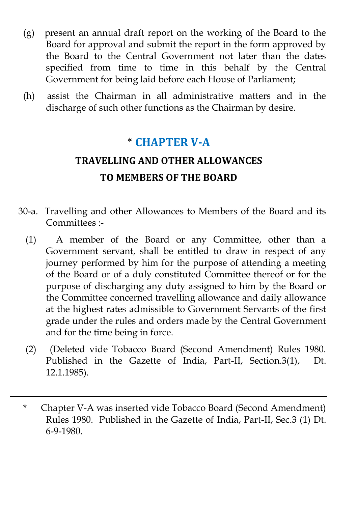- (g) present an annual draft report on the working of the Board to the Board for approval and submit the report in the form approved by the Board to the Central Government not later than the dates specified from time to time in this behalf by the Central Government for being laid before each House of Parliament;
- (h) assist the Chairman in all administrative matters and in the discharge of such other functions as the Chairman by desire.

## \* **CHAPTER V-A**

## **TRAVELLING AND OTHER ALLOWANCES TO MEMBERS OF THE BOARD**

- 30-a. Travelling and other Allowances to Members of the Board and its Committees :-
	- (1) A member of the Board or any Committee, other than a Government servant, shall be entitled to draw in respect of any journey performed by him for the purpose of attending a meeting of the Board or of a duly constituted Committee thereof or for the purpose of discharging any duty assigned to him by the Board or the Committee concerned travelling allowance and daily allowance at the highest rates admissible to Government Servants of the first grade under the rules and orders made by the Central Government and for the time being in force.
	- (2) (Deleted vide Tobacco Board (Second Amendment) Rules 1980. Published in the Gazette of India, Part-II, Section.3(1), Dt. 12.1.1985).
	- \* Chapter V-A was inserted vide Tobacco Board (Second Amendment) Rules 1980. Published in the Gazette of India, Part-II, Sec.3 (1) Dt. 6-9-1980.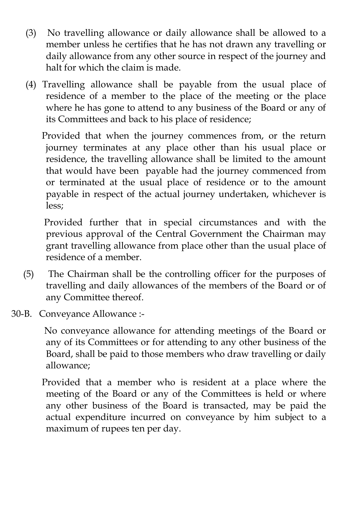- (3) No travelling allowance or daily allowance shall be allowed to a member unless he certifies that he has not drawn any travelling or daily allowance from any other source in respect of the journey and halt for which the claim is made.
- (4) Travelling allowance shall be payable from the usual place of residence of a member to the place of the meeting or the place where he has gone to attend to any business of the Board or any of its Committees and back to his place of residence;

 Provided that when the journey commences from, or the return journey terminates at any place other than his usual place or residence, the travelling allowance shall be limited to the amount that would have been payable had the journey commenced from or terminated at the usual place of residence or to the amount payable in respect of the actual journey undertaken, whichever is less;

 Provided further that in special circumstances and with the previous approval of the Central Government the Chairman may grant travelling allowance from place other than the usual place of residence of a member.

- (5) The Chairman shall be the controlling officer for the purposes of travelling and daily allowances of the members of the Board or of any Committee thereof.
- 30-B. Conveyance Allowance :-

 No conveyance allowance for attending meetings of the Board or any of its Committees or for attending to any other business of the Board, shall be paid to those members who draw travelling or daily allowance;

 Provided that a member who is resident at a place where the meeting of the Board or any of the Committees is held or where any other business of the Board is transacted, may be paid the actual expenditure incurred on conveyance by him subject to a maximum of rupees ten per day.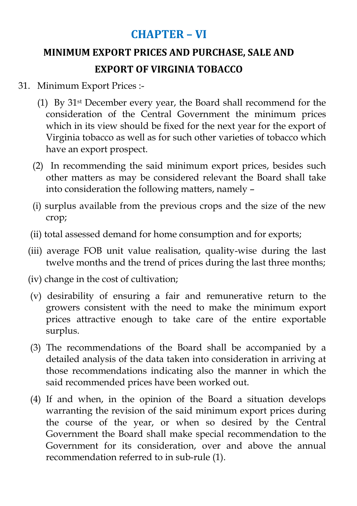## **CHAPTER – VI**

## **MINIMUM EXPORT PRICES AND PURCHASE, SALE AND EXPORT OF VIRGINIA TOBACCO**

#### 31. Minimum Export Prices :-

- (1) By 31st December every year, the Board shall recommend for the consideration of the Central Government the minimum prices which in its view should be fixed for the next year for the export of Virginia tobacco as well as for such other varieties of tobacco which have an export prospect.
- (2) In recommending the said minimum export prices, besides such other matters as may be considered relevant the Board shall take into consideration the following matters, namely –
- (i) surplus available from the previous crops and the size of the new crop;
- (ii) total assessed demand for home consumption and for exports;
- (iii) average FOB unit value realisation, quality-wise during the last twelve months and the trend of prices during the last three months;
- (iv) change in the cost of cultivation;
- (v) desirability of ensuring a fair and remunerative return to the growers consistent with the need to make the minimum export prices attractive enough to take care of the entire exportable surplus.
- (3) The recommendations of the Board shall be accompanied by a detailed analysis of the data taken into consideration in arriving at those recommendations indicating also the manner in which the said recommended prices have been worked out.
- (4) If and when, in the opinion of the Board a situation develops warranting the revision of the said minimum export prices during the course of the year, or when so desired by the Central Government the Board shall make special recommendation to the Government for its consideration, over and above the annual recommendation referred to in sub-rule (1).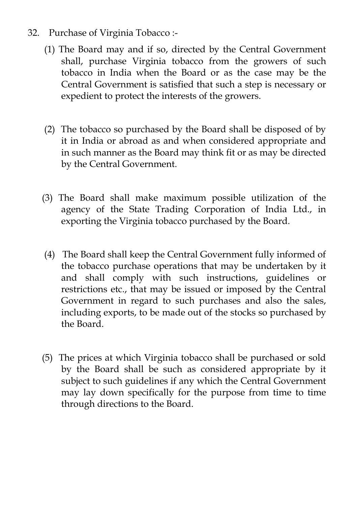- 32. Purchase of Virginia Tobacco :-
	- (1) The Board may and if so, directed by the Central Government shall, purchase Virginia tobacco from the growers of such tobacco in India when the Board or as the case may be the Central Government is satisfied that such a step is necessary or expedient to protect the interests of the growers.
	- (2) The tobacco so purchased by the Board shall be disposed of by it in India or abroad as and when considered appropriate and in such manner as the Board may think fit or as may be directed by the Central Government.
	- (3) The Board shall make maximum possible utilization of the agency of the State Trading Corporation of India Ltd., in exporting the Virginia tobacco purchased by the Board.
	- (4) The Board shall keep the Central Government fully informed of the tobacco purchase operations that may be undertaken by it and shall comply with such instructions, guidelines or restrictions etc., that may be issued or imposed by the Central Government in regard to such purchases and also the sales, including exports, to be made out of the stocks so purchased by the Board.
	- (5) The prices at which Virginia tobacco shall be purchased or sold by the Board shall be such as considered appropriate by it subject to such guidelines if any which the Central Government may lay down specifically for the purpose from time to time through directions to the Board.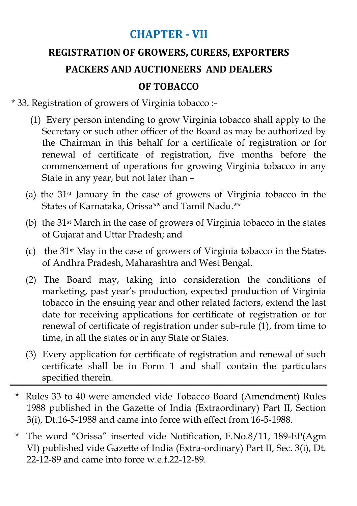## **CHAPTER - VII**

# **REGISTRATION OF GROWERS, CURERS, EXPORTERS PACKERS AND AUCTIONEERS AND DEALERS OF TOBACCO**

- \* 33. Registration of growers of Virginia tobacco :-
	- (1) Every person intending to grow Virginia tobacco shall apply to the Secretary or such other officer of the Board as may be authorized by the Chairman in this behalf for a certificate of registration or for renewal of certificate of registration, five months before the commencement of operations for growing Virginia tobacco in any State in any year, but not later than –
	- (a) the 31st January in the case of growers of Virginia tobacco in the States of Karnataka, Orissa\*\* and Tamil Nadu<sup>\*\*</sup>
	- (b) the 31st March in the case of growers of Virginia tobacco in the states of Gujarat and Uttar Pradesh; and
	- (c) the 31st May in the case of growers of Virginia tobacco in the States of Andhra Pradesh, Maharashtra and West Bengal.
	- (2) The Board may, taking into consideration the conditions of marketing, past year"s production, expected production of Virginia tobacco in the ensuing year and other related factors, extend the last date for receiving applications for certificate of registration or for renewal of certificate of registration under sub-rule (1), from time to time, in all the states or in any State or States.
	- (3) Every application for certificate of registration and renewal of such certificate shall be in Form 1 and shall contain the particulars specified therein.
	- \* Rules 33 to 40 were amended vide Tobacco Board (Amendment) Rules 1988 published in the Gazette of India (Extraordinary) Part II, Section 3(i), Dt.16-5-1988 and came into force with effect from 16-5-1988.
	- \* The word "Orissa" inserted vide Notification, F.No.8/11, 189-EP(Agm VI) published vide Gazette of India (Extra-ordinary) Part II, Sec. 3(i), Dt. 22-12-89 and came into force w.e.f.22-12-89.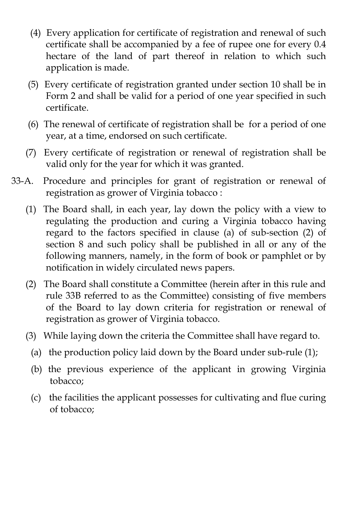- (4) Every application for certificate of registration and renewal of such certificate shall be accompanied by a fee of rupee one for every 0.4 hectare of the land of part thereof in relation to which such application is made.
- (5) Every certificate of registration granted under section 10 shall be in Form 2 and shall be valid for a period of one year specified in such certificate.
- (6) The renewal of certificate of registration shall be for a period of one year, at a time, endorsed on such certificate.
- (7) Every certificate of registration or renewal of registration shall be valid only for the year for which it was granted.
- 33-A. Procedure and principles for grant of registration or renewal of registration as grower of Virginia tobacco :
	- (1) The Board shall, in each year, lay down the policy with a view to regulating the production and curing a Virginia tobacco having regard to the factors specified in clause (a) of sub-section (2) of section 8 and such policy shall be published in all or any of the following manners, namely, in the form of book or pamphlet or by notification in widely circulated news papers.
	- (2) The Board shall constitute a Committee (herein after in this rule and rule 33B referred to as the Committee) consisting of five members of the Board to lay down criteria for registration or renewal of registration as grower of Virginia tobacco.
	- (3) While laying down the criteria the Committee shall have regard to.
		- (a) the production policy laid down by the Board under sub-rule (1);
		- (b) the previous experience of the applicant in growing Virginia tobacco;
		- (c) the facilities the applicant possesses for cultivating and flue curing of tobacco;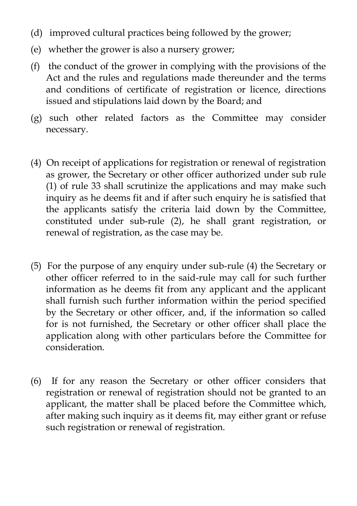- (d) improved cultural practices being followed by the grower;
- (e) whether the grower is also a nursery grower;
- (f) the conduct of the grower in complying with the provisions of the Act and the rules and regulations made thereunder and the terms and conditions of certificate of registration or licence, directions issued and stipulations laid down by the Board; and
- (g) such other related factors as the Committee may consider necessary.
- (4) On receipt of applications for registration or renewal of registration as grower, the Secretary or other officer authorized under sub rule (1) of rule 33 shall scrutinize the applications and may make such inquiry as he deems fit and if after such enquiry he is satisfied that the applicants satisfy the criteria laid down by the Committee, constituted under sub-rule (2), he shall grant registration, or renewal of registration, as the case may be.
- (5) For the purpose of any enquiry under sub-rule (4) the Secretary or other officer referred to in the said-rule may call for such further information as he deems fit from any applicant and the applicant shall furnish such further information within the period specified by the Secretary or other officer, and, if the information so called for is not furnished, the Secretary or other officer shall place the application along with other particulars before the Committee for consideration.
- (6) If for any reason the Secretary or other officer considers that registration or renewal of registration should not be granted to an applicant, the matter shall be placed before the Committee which, after making such inquiry as it deems fit, may either grant or refuse such registration or renewal of registration.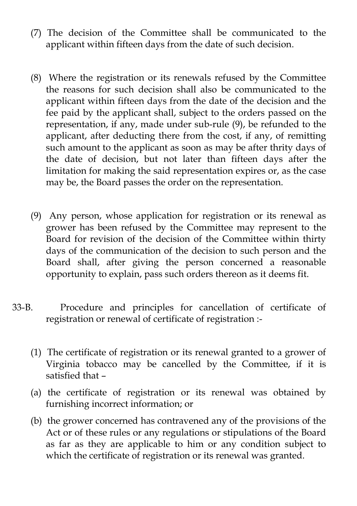- (7) The decision of the Committee shall be communicated to the applicant within fifteen days from the date of such decision.
- (8) Where the registration or its renewals refused by the Committee the reasons for such decision shall also be communicated to the applicant within fifteen days from the date of the decision and the fee paid by the applicant shall, subject to the orders passed on the representation, if any, made under sub-rule (9), be refunded to the applicant, after deducting there from the cost, if any, of remitting such amount to the applicant as soon as may be after thrity days of the date of decision, but not later than fifteen days after the limitation for making the said representation expires or, as the case may be, the Board passes the order on the representation.
- (9) Any person, whose application for registration or its renewal as grower has been refused by the Committee may represent to the Board for revision of the decision of the Committee within thirty days of the communication of the decision to such person and the Board shall, after giving the person concerned a reasonable opportunity to explain, pass such orders thereon as it deems fit.
- 33-B. Procedure and principles for cancellation of certificate of registration or renewal of certificate of registration :-
	- (1) The certificate of registration or its renewal granted to a grower of Virginia tobacco may be cancelled by the Committee, if it is satisfied that –
	- (a) the certificate of registration or its renewal was obtained by furnishing incorrect information; or
	- (b) the grower concerned has contravened any of the provisions of the Act or of these rules or any regulations or stipulations of the Board as far as they are applicable to him or any condition subject to which the certificate of registration or its renewal was granted.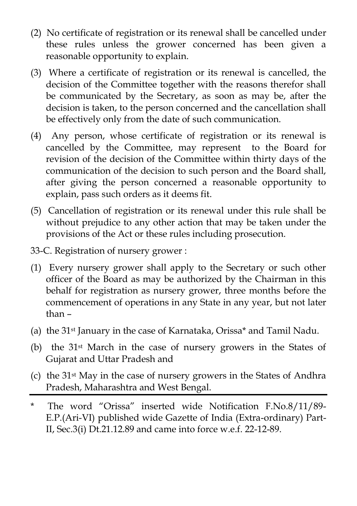- (2) No certificate of registration or its renewal shall be cancelled under these rules unless the grower concerned has been given a reasonable opportunity to explain.
- (3) Where a certificate of registration or its renewal is cancelled, the decision of the Committee together with the reasons therefor shall be communicated by the Secretary, as soon as may be, after the decision is taken, to the person concerned and the cancellation shall be effectively only from the date of such communication.
- (4) Any person, whose certificate of registration or its renewal is cancelled by the Committee, may represent to the Board for revision of the decision of the Committee within thirty days of the communication of the decision to such person and the Board shall, after giving the person concerned a reasonable opportunity to explain, pass such orders as it deems fit.
- (5) Cancellation of registration or its renewal under this rule shall be without prejudice to any other action that may be taken under the provisions of the Act or these rules including prosecution.
- 33-C. Registration of nursery grower :
- (1) Every nursery grower shall apply to the Secretary or such other officer of the Board as may be authorized by the Chairman in this behalf for registration as nursery grower, three months before the commencement of operations in any State in any year, but not later than –
- (a) the 31st January in the case of Karnataka, Orissa\* and Tamil Nadu.
- (b) the 31st March in the case of nursery growers in the States of Gujarat and Uttar Pradesh and
- (c) the 31st May in the case of nursery growers in the States of Andhra Pradesh, Maharashtra and West Bengal.
- \* The word "Orissa" inserted wide Notification F.No.8/11/89- E.P.(Ari-VI) published wide Gazette of India (Extra-ordinary) Part-II, Sec.3(i) Dt.21.12.89 and came into force w.e.f. 22-12-89.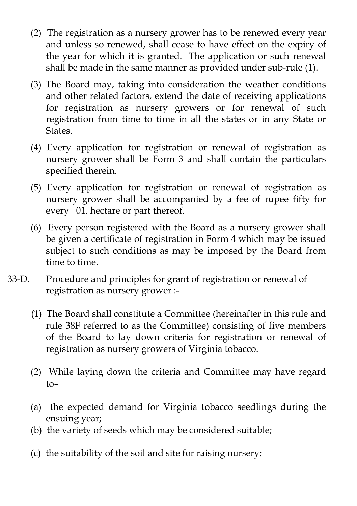- (2) The registration as a nursery grower has to be renewed every year and unless so renewed, shall cease to have effect on the expiry of the year for which it is granted. The application or such renewal shall be made in the same manner as provided under sub-rule (1).
- (3) The Board may, taking into consideration the weather conditions and other related factors, extend the date of receiving applications for registration as nursery growers or for renewal of such registration from time to time in all the states or in any State or States.
- (4) Every application for registration or renewal of registration as nursery grower shall be Form 3 and shall contain the particulars specified therein.
- (5) Every application for registration or renewal of registration as nursery grower shall be accompanied by a fee of rupee fifty for every 01. hectare or part thereof.
- (6) Every person registered with the Board as a nursery grower shall be given a certificate of registration in Form 4 which may be issued subject to such conditions as may be imposed by the Board from time to time.
- 33-D. Procedure and principles for grant of registration or renewal of registration as nursery grower :-
	- (1) The Board shall constitute a Committee (hereinafter in this rule and rule 38F referred to as the Committee) consisting of five members of the Board to lay down criteria for registration or renewal of registration as nursery growers of Virginia tobacco.
	- (2) While laying down the criteria and Committee may have regard to–
	- (a) the expected demand for Virginia tobacco seedlings during the ensuing year;
	- (b) the variety of seeds which may be considered suitable;
	- (c) the suitability of the soil and site for raising nursery;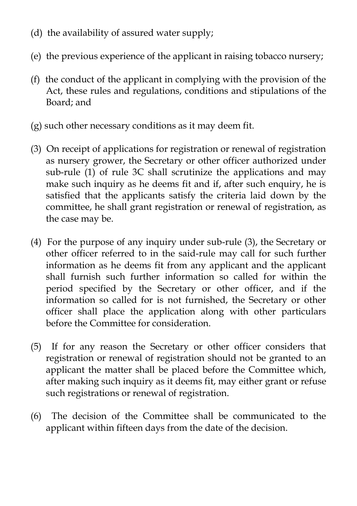- (d) the availability of assured water supply;
- (e) the previous experience of the applicant in raising tobacco nursery;
- (f) the conduct of the applicant in complying with the provision of the Act, these rules and regulations, conditions and stipulations of the Board; and
- (g) such other necessary conditions as it may deem fit.
- (3) On receipt of applications for registration or renewal of registration as nursery grower, the Secretary or other officer authorized under sub-rule (1) of rule 3C shall scrutinize the applications and may make such inquiry as he deems fit and if, after such enquiry, he is satisfied that the applicants satisfy the criteria laid down by the committee, he shall grant registration or renewal of registration, as the case may be.
- (4) For the purpose of any inquiry under sub-rule (3), the Secretary or other officer referred to in the said-rule may call for such further information as he deems fit from any applicant and the applicant shall furnish such further information so called for within the period specified by the Secretary or other officer, and if the information so called for is not furnished, the Secretary or other officer shall place the application along with other particulars before the Committee for consideration.
- (5) If for any reason the Secretary or other officer considers that registration or renewal of registration should not be granted to an applicant the matter shall be placed before the Committee which, after making such inquiry as it deems fit, may either grant or refuse such registrations or renewal of registration.
- (6) The decision of the Committee shall be communicated to the applicant within fifteen days from the date of the decision.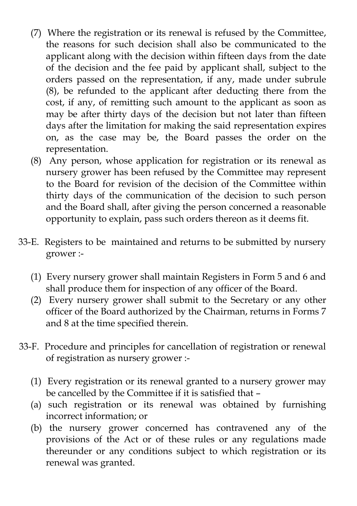- (7) Where the registration or its renewal is refused by the Committee, the reasons for such decision shall also be communicated to the applicant along with the decision within fifteen days from the date of the decision and the fee paid by applicant shall, subject to the orders passed on the representation, if any, made under subrule (8), be refunded to the applicant after deducting there from the cost, if any, of remitting such amount to the applicant as soon as may be after thirty days of the decision but not later than fifteen days after the limitation for making the said representation expires on, as the case may be, the Board passes the order on the representation.
- (8) Any person, whose application for registration or its renewal as nursery grower has been refused by the Committee may represent to the Board for revision of the decision of the Committee within thirty days of the communication of the decision to such person and the Board shall, after giving the person concerned a reasonable opportunity to explain, pass such orders thereon as it deems fit.
- 33-E. Registers to be maintained and returns to be submitted by nursery grower :-
	- (1) Every nursery grower shall maintain Registers in Form 5 and 6 and shall produce them for inspection of any officer of the Board.
	- (2) Every nursery grower shall submit to the Secretary or any other officer of the Board authorized by the Chairman, returns in Forms 7 and 8 at the time specified therein.
- 33-F. Procedure and principles for cancellation of registration or renewal of registration as nursery grower :-
	- (1) Every registration or its renewal granted to a nursery grower may be cancelled by the Committee if it is satisfied that –
	- (a) such registration or its renewal was obtained by furnishing incorrect information; or
	- (b) the nursery grower concerned has contravened any of the provisions of the Act or of these rules or any regulations made thereunder or any conditions subject to which registration or its renewal was granted.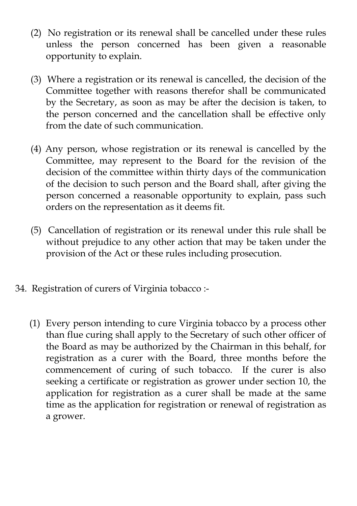- (2) No registration or its renewal shall be cancelled under these rules unless the person concerned has been given a reasonable opportunity to explain.
- (3) Where a registration or its renewal is cancelled, the decision of the Committee together with reasons therefor shall be communicated by the Secretary, as soon as may be after the decision is taken, to the person concerned and the cancellation shall be effective only from the date of such communication.
- (4) Any person, whose registration or its renewal is cancelled by the Committee, may represent to the Board for the revision of the decision of the committee within thirty days of the communication of the decision to such person and the Board shall, after giving the person concerned a reasonable opportunity to explain, pass such orders on the representation as it deems fit.
- (5) Cancellation of registration or its renewal under this rule shall be without prejudice to any other action that may be taken under the provision of the Act or these rules including prosecution.
- 34. Registration of curers of Virginia tobacco :-
	- (1) Every person intending to cure Virginia tobacco by a process other than flue curing shall apply to the Secretary of such other officer of the Board as may be authorized by the Chairman in this behalf, for registration as a curer with the Board, three months before the commencement of curing of such tobacco. If the curer is also seeking a certificate or registration as grower under section 10, the application for registration as a curer shall be made at the same time as the application for registration or renewal of registration as a grower.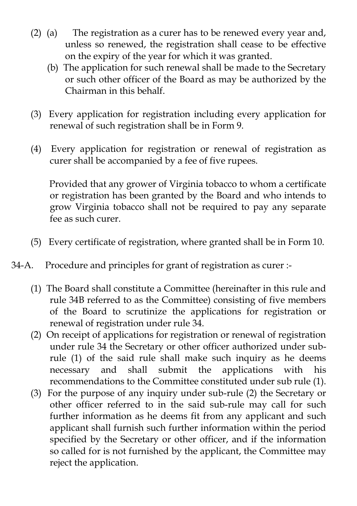- (2) (a) The registration as a curer has to be renewed every year and, unless so renewed, the registration shall cease to be effective on the expiry of the year for which it was granted.
	- (b) The application for such renewal shall be made to the Secretary or such other officer of the Board as may be authorized by the Chairman in this behalf.
- (3) Every application for registration including every application for renewal of such registration shall be in Form 9.
- (4) Every application for registration or renewal of registration as curer shall be accompanied by a fee of five rupees.

 Provided that any grower of Virginia tobacco to whom a certificate or registration has been granted by the Board and who intends to grow Virginia tobacco shall not be required to pay any separate fee as such curer.

- (5) Every certificate of registration, where granted shall be in Form 10.
- 34-A. Procedure and principles for grant of registration as curer :-
	- (1) The Board shall constitute a Committee (hereinafter in this rule and rule 34B referred to as the Committee) consisting of five members of the Board to scrutinize the applications for registration or renewal of registration under rule 34.
	- (2) On receipt of applications for registration or renewal of registration under rule 34 the Secretary or other officer authorized under subrule (1) of the said rule shall make such inquiry as he deems necessary and shall submit the applications with his recommendations to the Committee constituted under sub rule (1).
	- (3) For the purpose of any inquiry under sub-rule (2) the Secretary or other officer referred to in the said sub-rule may call for such further information as he deems fit from any applicant and such applicant shall furnish such further information within the period specified by the Secretary or other officer, and if the information so called for is not furnished by the applicant, the Committee may reject the application.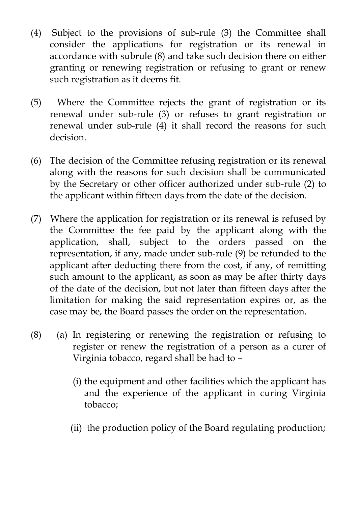- (4) Subject to the provisions of sub-rule (3) the Committee shall consider the applications for registration or its renewal in accordance with subrule (8) and take such decision there on either granting or renewing registration or refusing to grant or renew such registration as it deems fit.
- (5) Where the Committee rejects the grant of registration or its renewal under sub-rule (3) or refuses to grant registration or renewal under sub-rule (4) it shall record the reasons for such decision.
- (6) The decision of the Committee refusing registration or its renewal along with the reasons for such decision shall be communicated by the Secretary or other officer authorized under sub-rule (2) to the applicant within fifteen days from the date of the decision.
- (7) Where the application for registration or its renewal is refused by the Committee the fee paid by the applicant along with the application, shall, subject to the orders passed on the representation, if any, made under sub-rule (9) be refunded to the applicant after deducting there from the cost, if any, of remitting such amount to the applicant, as soon as may be after thirty days of the date of the decision, but not later than fifteen days after the limitation for making the said representation expires or, as the case may be, the Board passes the order on the representation.
- (8) (a) In registering or renewing the registration or refusing to register or renew the registration of a person as a curer of Virginia tobacco, regard shall be had to –
	- (i) the equipment and other facilities which the applicant has and the experience of the applicant in curing Virginia tobacco;
	- (ii) the production policy of the Board regulating production;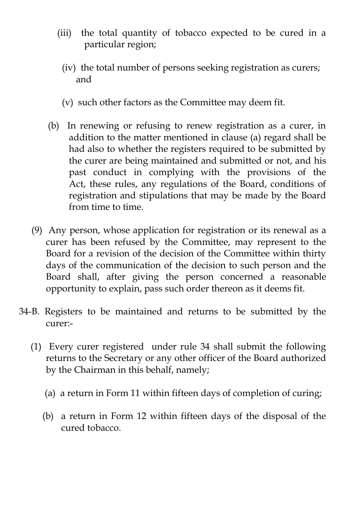- (iii) the total quantity of tobacco expected to be cured in a particular region;
	- (iv) the total number of persons seeking registration as curers; and
	- (v) such other factors as the Committee may deem fit.
- (b) In renewing or refusing to renew registration as a curer, in addition to the matter mentioned in clause (a) regard shall be had also to whether the registers required to be submitted by the curer are being maintained and submitted or not, and his past conduct in complying with the provisions of the Act, these rules, any regulations of the Board, conditions of registration and stipulations that may be made by the Board from time to time.
- (9) Any person, whose application for registration or its renewal as a curer has been refused by the Committee, may represent to the Board for a revision of the decision of the Committee within thirty days of the communication of the decision to such person and the Board shall, after giving the person concerned a reasonable opportunity to explain, pass such order thereon as it deems fit.
- 34-B. Registers to be maintained and returns to be submitted by the curer:-
	- (1) Every curer registered under rule 34 shall submit the following returns to the Secretary or any other officer of the Board authorized by the Chairman in this behalf, namely;
		- (a) a return in Form 11 within fifteen days of completion of curing;
		- (b) a return in Form 12 within fifteen days of the disposal of the cured tobacco.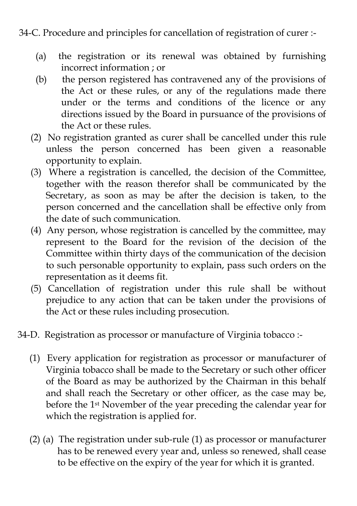#### 34-C. Procedure and principles for cancellation of registration of curer :-

- (a) the registration or its renewal was obtained by furnishing incorrect information ; or
- (b) the person registered has contravened any of the provisions of the Act or these rules, or any of the regulations made there under or the terms and conditions of the licence or any directions issued by the Board in pursuance of the provisions of the Act or these rules.
- (2) No registration granted as curer shall be cancelled under this rule unless the person concerned has been given a reasonable opportunity to explain.
- (3) Where a registration is cancelled, the decision of the Committee, together with the reason therefor shall be communicated by the Secretary, as soon as may be after the decision is taken, to the person concerned and the cancellation shall be effective only from the date of such communication.
- (4) Any person, whose registration is cancelled by the committee, may represent to the Board for the revision of the decision of the Committee within thirty days of the communication of the decision to such personable opportunity to explain, pass such orders on the representation as it deems fit.
- (5) Cancellation of registration under this rule shall be without prejudice to any action that can be taken under the provisions of the Act or these rules including prosecution.
- 34-D. Registration as processor or manufacture of Virginia tobacco :-
	- (1) Every application for registration as processor or manufacturer of Virginia tobacco shall be made to the Secretary or such other officer of the Board as may be authorized by the Chairman in this behalf and shall reach the Secretary or other officer, as the case may be, before the 1st November of the year preceding the calendar year for which the registration is applied for.
	- (2) (a) The registration under sub-rule (1) as processor or manufacturer has to be renewed every year and, unless so renewed, shall cease to be effective on the expiry of the year for which it is granted.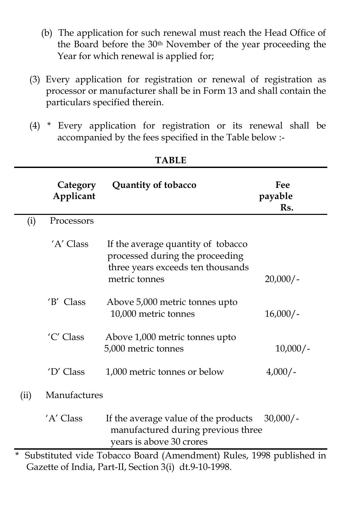- (b) The application for such renewal must reach the Head Office of the Board before the 30th November of the year proceeding the Year for which renewal is applied for;
- (3) Every application for registration or renewal of registration as processor or manufacturer shall be in Form 13 and shall contain the particulars specified therein.
- (4) \* Every application for registration or its renewal shall be accompanied by the fees specified in the Table below :-

|                                                                                   | Category<br>Applicant | Quantity of tobacco                                                                                                         | Fee<br>payable<br>Rs. |  |
|-----------------------------------------------------------------------------------|-----------------------|-----------------------------------------------------------------------------------------------------------------------------|-----------------------|--|
| (i)                                                                               | Processors            |                                                                                                                             |                       |  |
|                                                                                   | 'A' Class             | If the average quantity of tobacco<br>processed during the proceeding<br>three years exceeds ten thousands<br>metric tonnes | $20,000/-$            |  |
|                                                                                   | 'B' Class             | Above 5,000 metric tonnes upto<br>10,000 metric tonnes                                                                      | $16,000/-$            |  |
|                                                                                   | 'C' Class             | Above 1,000 metric tonnes upto<br>5,000 metric tonnes                                                                       | $10,000/-$            |  |
|                                                                                   | 'D' Class             | 1,000 metric tonnes or below                                                                                                | $4,000/-$             |  |
| (ii)                                                                              | Manufactures          |                                                                                                                             |                       |  |
|                                                                                   | 'A' Class             | If the average value of the products<br>manufactured during previous three<br>years is above 30 crores                      | $30,000/-$            |  |
| $^{\star}$<br>Substituted vide Tobacco Board (Amendment) Rules, 1998 published in |                       |                                                                                                                             |                       |  |
| Gazette of India, Part-II, Section 3(i) dt.9-10-1998.                             |                       |                                                                                                                             |                       |  |

**TABLE**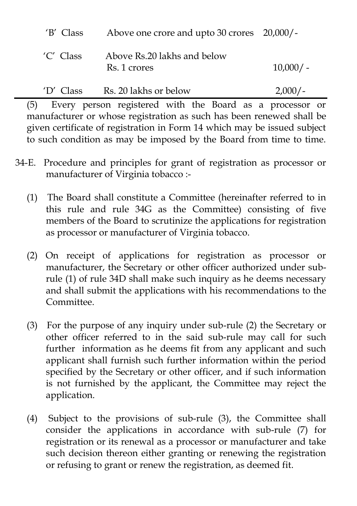| 'B' Class   | Above one crore and upto 30 crores 20,000/- |             |
|-------------|---------------------------------------------|-------------|
| 'C' Class   | Above Rs.20 lakhs and below<br>Rs. 1 crores | $10,000/$ - |
| $'D'$ Class | Rs. 20 lakhs or below                       | $2,000/-$   |

 (5) Every person registered with the Board as a processor or manufacturer or whose registration as such has been renewed shall be given certificate of registration in Form 14 which may be issued subject to such condition as may be imposed by the Board from time to time.

- 34-E. Procedure and principles for grant of registration as processor or manufacturer of Virginia tobacco :-
	- (1) The Board shall constitute a Committee (hereinafter referred to in this rule and rule 34G as the Committee) consisting of five members of the Board to scrutinize the applications for registration as processor or manufacturer of Virginia tobacco.
	- (2) On receipt of applications for registration as processor or manufacturer, the Secretary or other officer authorized under subrule (1) of rule 34D shall make such inquiry as he deems necessary and shall submit the applications with his recommendations to the Committee.
	- (3) For the purpose of any inquiry under sub-rule (2) the Secretary or other officer referred to in the said sub-rule may call for such further information as he deems fit from any applicant and such applicant shall furnish such further information within the period specified by the Secretary or other officer, and if such information is not furnished by the applicant, the Committee may reject the application.
	- (4) Subject to the provisions of sub-rule (3), the Committee shall consider the applications in accordance with sub-rule (7) for registration or its renewal as a processor or manufacturer and take such decision thereon either granting or renewing the registration or refusing to grant or renew the registration, as deemed fit.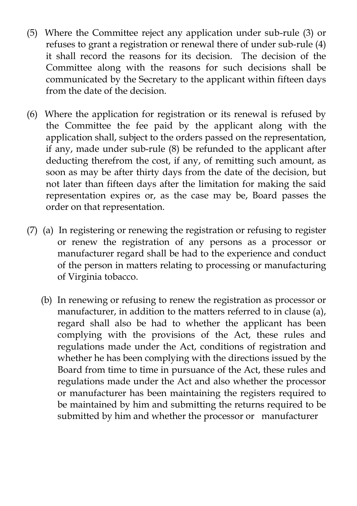- (5) Where the Committee reject any application under sub-rule (3) or refuses to grant a registration or renewal there of under sub-rule (4) it shall record the reasons for its decision. The decision of the Committee along with the reasons for such decisions shall be communicated by the Secretary to the applicant within fifteen days from the date of the decision.
- (6) Where the application for registration or its renewal is refused by the Committee the fee paid by the applicant along with the application shall, subject to the orders passed on the representation, if any, made under sub-rule (8) be refunded to the applicant after deducting therefrom the cost, if any, of remitting such amount, as soon as may be after thirty days from the date of the decision, but not later than fifteen days after the limitation for making the said representation expires or, as the case may be, Board passes the order on that representation.
- (7) (a) In registering or renewing the registration or refusing to register or renew the registration of any persons as a processor or manufacturer regard shall be had to the experience and conduct of the person in matters relating to processing or manufacturing of Virginia tobacco.
	- (b) In renewing or refusing to renew the registration as processor or manufacturer, in addition to the matters referred to in clause (a), regard shall also be had to whether the applicant has been complying with the provisions of the Act, these rules and regulations made under the Act, conditions of registration and whether he has been complying with the directions issued by the Board from time to time in pursuance of the Act, these rules and regulations made under the Act and also whether the processor or manufacturer has been maintaining the registers required to be maintained by him and submitting the returns required to be submitted by him and whether the processor or manufacturer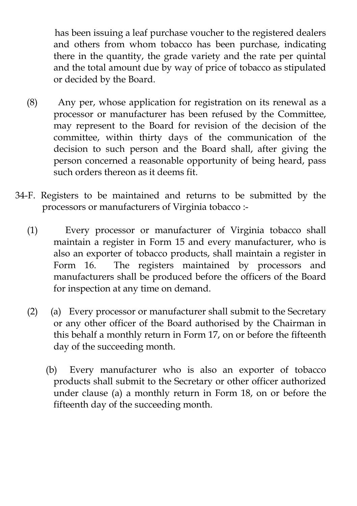has been issuing a leaf purchase voucher to the registered dealers and others from whom tobacco has been purchase, indicating there in the quantity, the grade variety and the rate per quintal and the total amount due by way of price of tobacco as stipulated or decided by the Board.

- (8) Any per, whose application for registration on its renewal as a processor or manufacturer has been refused by the Committee, may represent to the Board for revision of the decision of the committee, within thirty days of the communication of the decision to such person and the Board shall, after giving the person concerned a reasonable opportunity of being heard, pass such orders thereon as it deems fit.
- 34-F. Registers to be maintained and returns to be submitted by the processors or manufacturers of Virginia tobacco :-
	- (1) Every processor or manufacturer of Virginia tobacco shall maintain a register in Form 15 and every manufacturer, who is also an exporter of tobacco products, shall maintain a register in Form 16. The registers maintained by processors and manufacturers shall be produced before the officers of the Board for inspection at any time on demand.
	- (2) (a) Every processor or manufacturer shall submit to the Secretary or any other officer of the Board authorised by the Chairman in this behalf a monthly return in Form 17, on or before the fifteenth day of the succeeding month.
		- (b) Every manufacturer who is also an exporter of tobacco products shall submit to the Secretary or other officer authorized under clause (a) a monthly return in Form 18, on or before the fifteenth day of the succeeding month.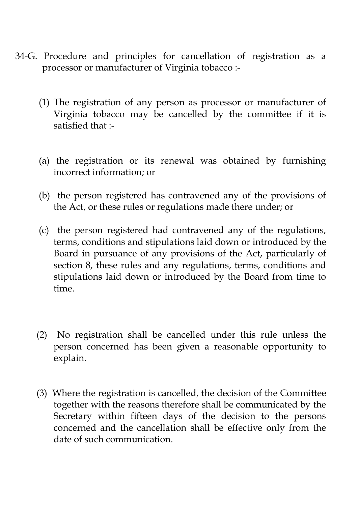- 34-G. Procedure and principles for cancellation of registration as a processor or manufacturer of Virginia tobacco :-
	- (1) The registration of any person as processor or manufacturer of Virginia tobacco may be cancelled by the committee if it is satisfied that :-
	- (a) the registration or its renewal was obtained by furnishing incorrect information; or
	- (b) the person registered has contravened any of the provisions of the Act, or these rules or regulations made there under; or
	- (c) the person registered had contravened any of the regulations, terms, conditions and stipulations laid down or introduced by the Board in pursuance of any provisions of the Act, particularly of section 8, these rules and any regulations, terms, conditions and stipulations laid down or introduced by the Board from time to time.
	- (2) No registration shall be cancelled under this rule unless the person concerned has been given a reasonable opportunity to explain.
	- (3) Where the registration is cancelled, the decision of the Committee together with the reasons therefore shall be communicated by the Secretary within fifteen days of the decision to the persons concerned and the cancellation shall be effective only from the date of such communication.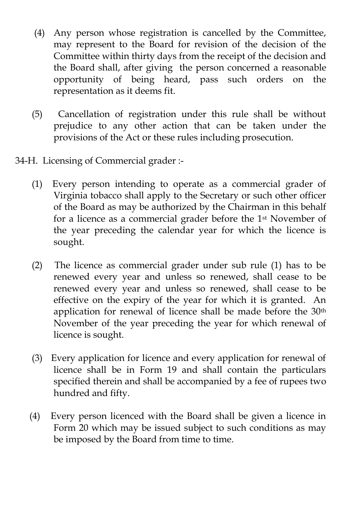- (4) Any person whose registration is cancelled by the Committee, may represent to the Board for revision of the decision of the Committee within thirty days from the receipt of the decision and the Board shall, after giving the person concerned a reasonable opportunity of being heard, pass such orders on the representation as it deems fit.
- (5) Cancellation of registration under this rule shall be without prejudice to any other action that can be taken under the provisions of the Act or these rules including prosecution.
- 34-H. Licensing of Commercial grader :-
	- (1) Every person intending to operate as a commercial grader of Virginia tobacco shall apply to the Secretary or such other officer of the Board as may be authorized by the Chairman in this behalf for a licence as a commercial grader before the 1st November of the year preceding the calendar year for which the licence is sought.
	- (2) The licence as commercial grader under sub rule (1) has to be renewed every year and unless so renewed, shall cease to be renewed every year and unless so renewed, shall cease to be effective on the expiry of the year for which it is granted. An application for renewal of licence shall be made before the 30<sup>th</sup> November of the year preceding the year for which renewal of licence is sought.
	- (3) Every application for licence and every application for renewal of licence shall be in Form 19 and shall contain the particulars specified therein and shall be accompanied by a fee of rupees two hundred and fifty.
	- (4) Every person licenced with the Board shall be given a licence in Form 20 which may be issued subject to such conditions as may be imposed by the Board from time to time.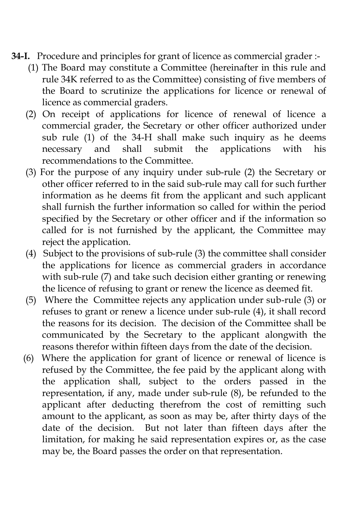- **34-I.** Procedure and principles for grant of licence as commercial grader :-
	- (1) The Board may constitute a Committee (hereinafter in this rule and rule 34K referred to as the Committee) consisting of five members of the Board to scrutinize the applications for licence or renewal of licence as commercial graders.
	- (2) On receipt of applications for licence of renewal of licence a commercial grader, the Secretary or other officer authorized under sub rule (1) of the 34-H shall make such inquiry as he deems necessary and shall submit the applications with his recommendations to the Committee.
	- (3) For the purpose of any inquiry under sub-rule (2) the Secretary or other officer referred to in the said sub-rule may call for such further information as he deems fit from the applicant and such applicant shall furnish the further information so called for within the period specified by the Secretary or other officer and if the information so called for is not furnished by the applicant, the Committee may reject the application.
	- (4) Subject to the provisions of sub-rule (3) the committee shall consider the applications for licence as commercial graders in accordance with sub-rule (7) and take such decision either granting or renewing the licence of refusing to grant or renew the licence as deemed fit.
	- (5) Where the Committee rejects any application under sub-rule (3) or refuses to grant or renew a licence under sub-rule (4), it shall record the reasons for its decision. The decision of the Committee shall be communicated by the Secretary to the applicant alongwith the reasons therefor within fifteen days from the date of the decision.
	- (6) Where the application for grant of licence or renewal of licence is refused by the Committee, the fee paid by the applicant along with the application shall, subject to the orders passed in the representation, if any, made under sub-rule (8), be refunded to the applicant after deducting therefrom the cost of remitting such amount to the applicant, as soon as may be, after thirty days of the date of the decision. But not later than fifteen days after the limitation, for making he said representation expires or, as the case may be, the Board passes the order on that representation.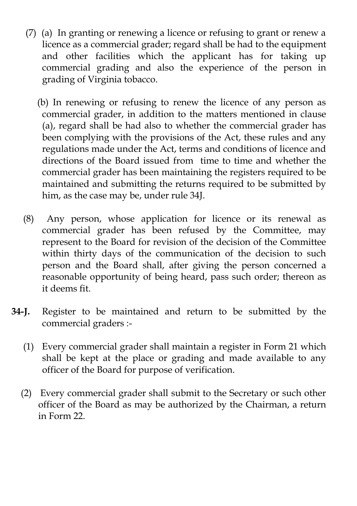- (7) (a) In granting or renewing a licence or refusing to grant or renew a licence as a commercial grader; regard shall be had to the equipment and other facilities which the applicant has for taking up commercial grading and also the experience of the person in grading of Virginia tobacco.
	- (b) In renewing or refusing to renew the licence of any person as commercial grader, in addition to the matters mentioned in clause (a), regard shall be had also to whether the commercial grader has been complying with the provisions of the Act, these rules and any regulations made under the Act, terms and conditions of licence and directions of the Board issued from time to time and whether the commercial grader has been maintaining the registers required to be maintained and submitting the returns required to be submitted by him, as the case may be, under rule 34J.
- (8) Any person, whose application for licence or its renewal as commercial grader has been refused by the Committee, may represent to the Board for revision of the decision of the Committee within thirty days of the communication of the decision to such person and the Board shall, after giving the person concerned a reasonable opportunity of being heard, pass such order; thereon as it deems fit.
- **34-J.** Register to be maintained and return to be submitted by the commercial graders :-
	- (1) Every commercial grader shall maintain a register in Form 21 which shall be kept at the place or grading and made available to any officer of the Board for purpose of verification.
	- (2) Every commercial grader shall submit to the Secretary or such other officer of the Board as may be authorized by the Chairman, a return in Form 22.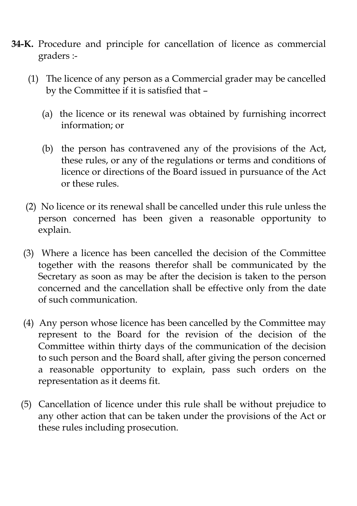- **34-K.** Procedure and principle for cancellation of licence as commercial graders :-
	- (1) The licence of any person as a Commercial grader may be cancelled by the Committee if it is satisfied that –
		- (a) the licence or its renewal was obtained by furnishing incorrect information; or
		- (b) the person has contravened any of the provisions of the Act, these rules, or any of the regulations or terms and conditions of licence or directions of the Board issued in pursuance of the Act or these rules.
	- (2) No licence or its renewal shall be cancelled under this rule unless the person concerned has been given a reasonable opportunity to explain.
	- (3) Where a licence has been cancelled the decision of the Committee together with the reasons therefor shall be communicated by the Secretary as soon as may be after the decision is taken to the person concerned and the cancellation shall be effective only from the date of such communication.
	- (4) Any person whose licence has been cancelled by the Committee may represent to the Board for the revision of the decision of the Committee within thirty days of the communication of the decision to such person and the Board shall, after giving the person concerned a reasonable opportunity to explain, pass such orders on the representation as it deems fit.
	- (5) Cancellation of licence under this rule shall be without prejudice to any other action that can be taken under the provisions of the Act or these rules including prosecution.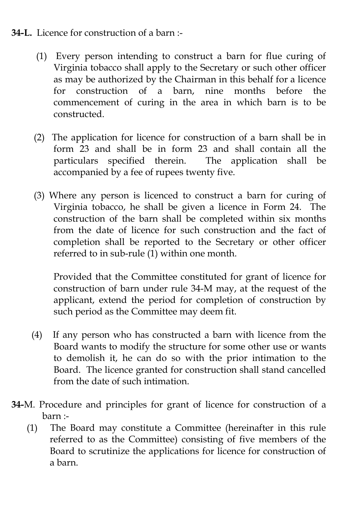#### **34-L.** Licence for construction of a barn :-

- (1) Every person intending to construct a barn for flue curing of Virginia tobacco shall apply to the Secretary or such other officer as may be authorized by the Chairman in this behalf for a licence for construction of a barn, nine months before the commencement of curing in the area in which barn is to be constructed.
- (2) The application for licence for construction of a barn shall be in form 23 and shall be in form 23 and shall contain all the particulars specified therein. The application shall be accompanied by a fee of rupees twenty five.
- (3) Where any person is licenced to construct a barn for curing of Virginia tobacco, he shall be given a licence in Form 24. The construction of the barn shall be completed within six months from the date of licence for such construction and the fact of completion shall be reported to the Secretary or other officer referred to in sub-rule (1) within one month.

Provided that the Committee constituted for grant of licence for construction of barn under rule 34-M may, at the request of the applicant, extend the period for completion of construction by such period as the Committee may deem fit.

- (4) If any person who has constructed a barn with licence from the Board wants to modify the structure for some other use or wants to demolish it, he can do so with the prior intimation to the Board. The licence granted for construction shall stand cancelled from the date of such intimation.
- **34-**M. Procedure and principles for grant of licence for construction of a barn :-
	- (1) The Board may constitute a Committee (hereinafter in this rule referred to as the Committee) consisting of five members of the Board to scrutinize the applications for licence for construction of a barn.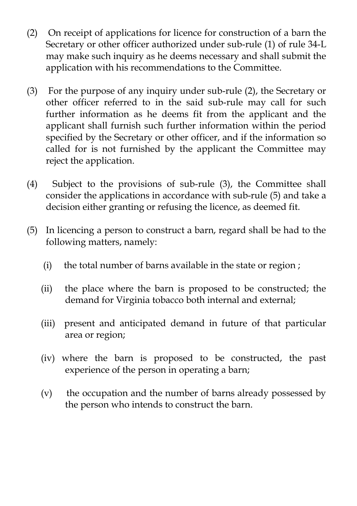- (2) On receipt of applications for licence for construction of a barn the Secretary or other officer authorized under sub-rule (1) of rule 34-L may make such inquiry as he deems necessary and shall submit the application with his recommendations to the Committee.
- (3) For the purpose of any inquiry under sub-rule (2), the Secretary or other officer referred to in the said sub-rule may call for such further information as he deems fit from the applicant and the applicant shall furnish such further information within the period specified by the Secretary or other officer, and if the information so called for is not furnished by the applicant the Committee may reject the application.
- (4) Subject to the provisions of sub-rule (3), the Committee shall consider the applications in accordance with sub-rule (5) and take a decision either granting or refusing the licence, as deemed fit.
- (5) In licencing a person to construct a barn, regard shall be had to the following matters, namely:
	- (i) the total number of barns available in the state or region ;
	- (ii) the place where the barn is proposed to be constructed; the demand for Virginia tobacco both internal and external;
	- (iii) present and anticipated demand in future of that particular area or region;
	- (iv) where the barn is proposed to be constructed, the past experience of the person in operating a barn;
	- (v) the occupation and the number of barns already possessed by the person who intends to construct the barn.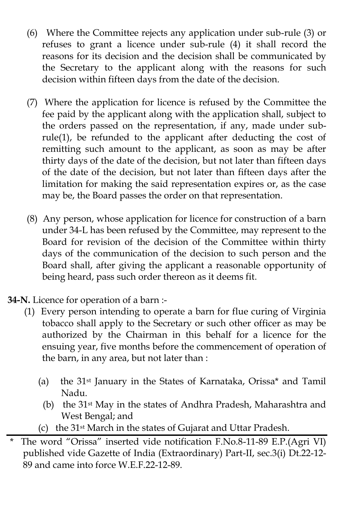- (6) Where the Committee rejects any application under sub-rule (3) or refuses to grant a licence under sub-rule (4) it shall record the reasons for its decision and the decision shall be communicated by the Secretary to the applicant along with the reasons for such decision within fifteen days from the date of the decision.
- (7) Where the application for licence is refused by the Committee the fee paid by the applicant along with the application shall, subject to the orders passed on the representation, if any, made under subrule(1), be refunded to the applicant after deducting the cost of remitting such amount to the applicant, as soon as may be after thirty days of the date of the decision, but not later than fifteen days of the date of the decision, but not later than fifteen days after the limitation for making the said representation expires or, as the case may be, the Board passes the order on that representation.
- (8) Any person, whose application for licence for construction of a barn under 34-L has been refused by the Committee, may represent to the Board for revision of the decision of the Committee within thirty days of the communication of the decision to such person and the Board shall, after giving the applicant a reasonable opportunity of being heard, pass such order thereon as it deems fit.
- **34-N.** Licence for operation of a barn :-
	- (1) Every person intending to operate a barn for flue curing of Virginia tobacco shall apply to the Secretary or such other officer as may be authorized by the Chairman in this behalf for a licence for the ensuing year, five months before the commencement of operation of the barn, in any area, but not later than :
		- (a) the 31st January in the States of Karnataka, Orissa\* and Tamil Nadu.
			- (b) the 31st May in the states of Andhra Pradesh, Maharashtra and West Bengal; and
		- (c) the 31st March in the states of Gujarat and Uttar Pradesh.

The word "Orissa" inserted vide notification F.No.8-11-89 E.P.(Agri VI) published vide Gazette of India (Extraordinary) Part-II, sec.3(i) Dt.22-12-  $89$  and came into force W.E.F.22-12-89.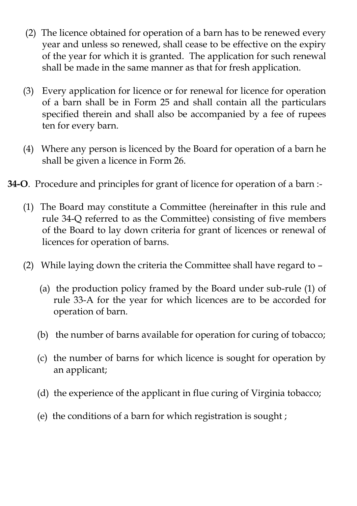- (2) The licence obtained for operation of a barn has to be renewed every year and unless so renewed, shall cease to be effective on the expiry of the year for which it is granted. The application for such renewal shall be made in the same manner as that for fresh application.
- (3) Every application for licence or for renewal for licence for operation of a barn shall be in Form 25 and shall contain all the particulars specified therein and shall also be accompanied by a fee of rupees ten for every barn.
- (4) Where any person is licenced by the Board for operation of a barn he shall be given a licence in Form 26.
- **34-O**. Procedure and principles for grant of licence for operation of a barn :-
	- (1) The Board may constitute a Committee (hereinafter in this rule and rule 34-Q referred to as the Committee) consisting of five members of the Board to lay down criteria for grant of licences or renewal of licences for operation of barns.
	- (2) While laying down the criteria the Committee shall have regard to
		- (a) the production policy framed by the Board under sub-rule (1) of rule 33-A for the year for which licences are to be accorded for operation of barn.
		- (b) the number of barns available for operation for curing of tobacco;
		- (c) the number of barns for which licence is sought for operation by an applicant;
		- (d) the experience of the applicant in flue curing of Virginia tobacco;
		- (e) the conditions of a barn for which registration is sought ;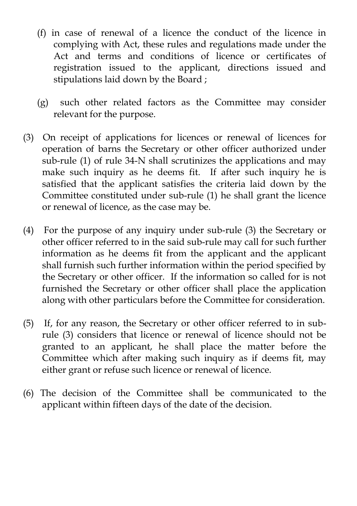- (f) in case of renewal of a licence the conduct of the licence in complying with Act, these rules and regulations made under the Act and terms and conditions of licence or certificates of registration issued to the applicant, directions issued and stipulations laid down by the Board ;
- (g) such other related factors as the Committee may consider relevant for the purpose.
- (3) On receipt of applications for licences or renewal of licences for operation of barns the Secretary or other officer authorized under sub-rule (1) of rule 34-N shall scrutinizes the applications and may make such inquiry as he deems fit. If after such inquiry he is satisfied that the applicant satisfies the criteria laid down by the Committee constituted under sub-rule (1) he shall grant the licence or renewal of licence, as the case may be.
- (4) For the purpose of any inquiry under sub-rule (3) the Secretary or other officer referred to in the said sub-rule may call for such further information as he deems fit from the applicant and the applicant shall furnish such further information within the period specified by the Secretary or other officer. If the information so called for is not furnished the Secretary or other officer shall place the application along with other particulars before the Committee for consideration.
- (5) If, for any reason, the Secretary or other officer referred to in subrule (3) considers that licence or renewal of licence should not be granted to an applicant, he shall place the matter before the Committee which after making such inquiry as if deems fit, may either grant or refuse such licence or renewal of licence.
- (6) The decision of the Committee shall be communicated to the applicant within fifteen days of the date of the decision.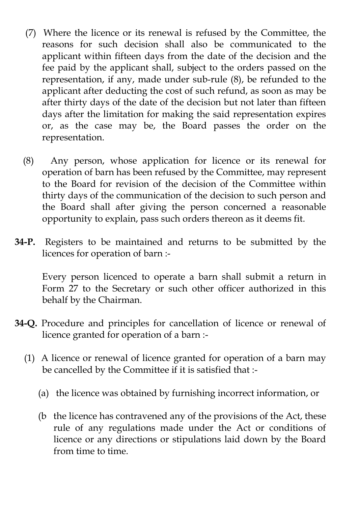- (7) Where the licence or its renewal is refused by the Committee, the reasons for such decision shall also be communicated to the applicant within fifteen days from the date of the decision and the fee paid by the applicant shall, subject to the orders passed on the representation, if any, made under sub-rule (8), be refunded to the applicant after deducting the cost of such refund, as soon as may be after thirty days of the date of the decision but not later than fifteen days after the limitation for making the said representation expires or, as the case may be, the Board passes the order on the representation.
- (8) Any person, whose application for licence or its renewal for operation of barn has been refused by the Committee, may represent to the Board for revision of the decision of the Committee within thirty days of the communication of the decision to such person and the Board shall after giving the person concerned a reasonable opportunity to explain, pass such orders thereon as it deems fit.
- **34-P.** Registers to be maintained and returns to be submitted by the licences for operation of barn :-

Every person licenced to operate a barn shall submit a return in Form 27 to the Secretary or such other officer authorized in this behalf by the Chairman.

- **34-Q.** Procedure and principles for cancellation of licence or renewal of licence granted for operation of a barn :-
	- (1) A licence or renewal of licence granted for operation of a barn may be cancelled by the Committee if it is satisfied that :-
		- (a) the licence was obtained by furnishing incorrect information, or
		- (b the licence has contravened any of the provisions of the Act, these rule of any regulations made under the Act or conditions of licence or any directions or stipulations laid down by the Board from time to time.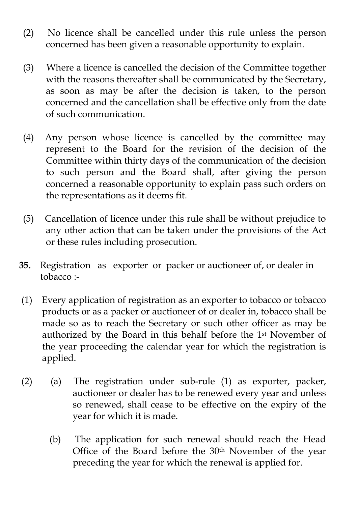- (2) No licence shall be cancelled under this rule unless the person concerned has been given a reasonable opportunity to explain.
- (3) Where a licence is cancelled the decision of the Committee together with the reasons thereafter shall be communicated by the Secretary, as soon as may be after the decision is taken, to the person concerned and the cancellation shall be effective only from the date of such communication.
- (4) Any person whose licence is cancelled by the committee may represent to the Board for the revision of the decision of the Committee within thirty days of the communication of the decision to such person and the Board shall, after giving the person concerned a reasonable opportunity to explain pass such orders on the representations as it deems fit.
- (5) Cancellation of licence under this rule shall be without prejudice to any other action that can be taken under the provisions of the Act or these rules including prosecution.
- **35.** Registration as exporter or packer or auctioneer of, or dealer in tobacco :-
- (1) Every application of registration as an exporter to tobacco or tobacco products or as a packer or auctioneer of or dealer in, tobacco shall be made so as to reach the Secretary or such other officer as may be authorized by the Board in this behalf before the 1st November of the year proceeding the calendar year for which the registration is applied.
- (2) (a) The registration under sub-rule (1) as exporter, packer, auctioneer or dealer has to be renewed every year and unless so renewed, shall cease to be effective on the expiry of the year for which it is made.
	- (b) The application for such renewal should reach the Head Office of the Board before the 30th November of the year preceding the year for which the renewal is applied for.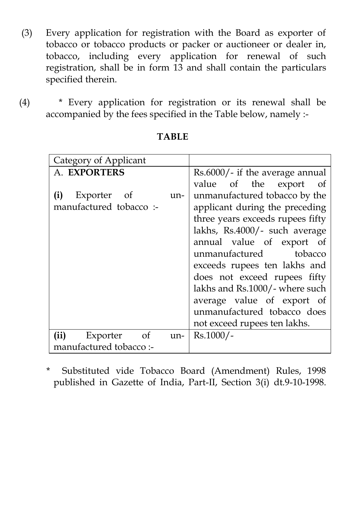- (3) Every application for registration with the Board as exporter of tobacco or tobacco products or packer or auctioneer or dealer in, tobacco, including every application for renewal of such registration, shall be in form 13 and shall contain the particulars specified therein.
- (4) \* Every application for registration or its renewal shall be accompanied by the fees specified in the Table below, namely :-

| Category of Applicant      |                                  |
|----------------------------|----------------------------------|
| A. EXPORTERS               | Rs.6000/- if the average annual  |
|                            | value of the export of           |
| Exporter of<br>(i)<br>un-  | unmanufactured tobacco by the    |
| manufactured tobacco :-    | applicant during the preceding   |
|                            | three years exceeds rupees fifty |
|                            | lakhs, Rs.4000/- such average    |
|                            | annual value of export of        |
|                            | unmanufactured tobacco           |
|                            | exceeds rupees ten lakhs and     |
|                            | does not exceed rupees fifty     |
|                            | lakhs and Rs.1000/- where such   |
|                            | average value of export of       |
|                            | unmanufactured tobacco does      |
|                            | not exceed rupees ten lakhs.     |
| (ii)<br>Exporter of<br>un- | $Rs.1000/-$                      |
| manufactured tobacco:-     |                                  |

**TABLE**

 \* Substituted vide Tobacco Board (Amendment) Rules, 1998 published in Gazette of India, Part-II, Section 3(i) dt.9-10-1998.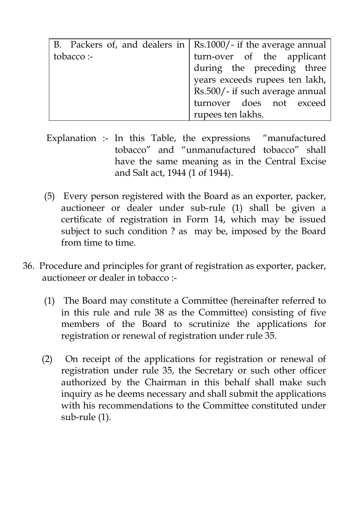|            | B. Packers of, and dealers in $\vert$ Rs.1000/- if the average annual |
|------------|-----------------------------------------------------------------------|
| tobacco :- | turn-over of the applicant                                            |
|            | during the preceding three                                            |
|            | years exceeds rupees ten lakh,                                        |
|            | Rs.500/- if such average annual                                       |
|            | turnover does not exceed                                              |
|            | rupees ten lakhs.                                                     |

- Explanation :- In this Table, the expressions "manufactured tobacco" and "unmanufactured tobacco" shall have the same meaning as in the Central Excise and Salt act, 1944 (1 of 1944).
- (5) Every person registered with the Board as an exporter, packer, auctioneer or dealer under sub-rule (1) shall be given a certificate of registration in Form 14, which may be issued subject to such condition ? as may be, imposed by the Board from time to time.
- 36. Procedure and principles for grant of registration as exporter, packer, auctioneer or dealer in tobacco :-
	- (1) The Board may constitute a Committee (hereinafter referred to in this rule and rule 38 as the Committee) consisting of five members of the Board to scrutinize the applications for registration or renewal of registration under rule 35.
	- (2) On receipt of the applications for registration or renewal of registration under rule 35, the Secretary or such other officer authorized by the Chairman in this behalf shall make such inquiry as he deems necessary and shall submit the applications with his recommendations to the Committee constituted under sub-rule (1).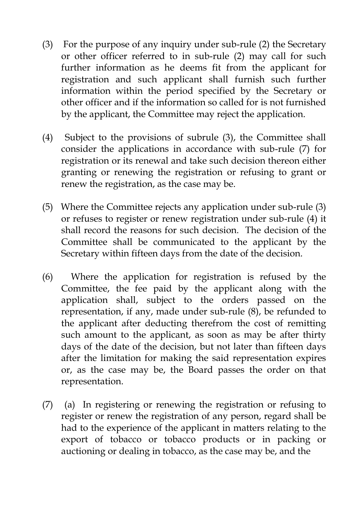- (3) For the purpose of any inquiry under sub-rule (2) the Secretary or other officer referred to in sub-rule (2) may call for such further information as he deems fit from the applicant for registration and such applicant shall furnish such further information within the period specified by the Secretary or other officer and if the information so called for is not furnished by the applicant, the Committee may reject the application.
- (4) Subject to the provisions of subrule (3), the Committee shall consider the applications in accordance with sub-rule (7) for registration or its renewal and take such decision thereon either granting or renewing the registration or refusing to grant or renew the registration, as the case may be.
- (5) Where the Committee rejects any application under sub-rule (3) or refuses to register or renew registration under sub-rule (4) it shall record the reasons for such decision. The decision of the Committee shall be communicated to the applicant by the Secretary within fifteen days from the date of the decision.
- (6) Where the application for registration is refused by the Committee, the fee paid by the applicant along with the application shall, subject to the orders passed on the representation, if any, made under sub-rule (8), be refunded to the applicant after deducting therefrom the cost of remitting such amount to the applicant, as soon as may be after thirty days of the date of the decision, but not later than fifteen days after the limitation for making the said representation expires or, as the case may be, the Board passes the order on that representation.
- (7) (a) In registering or renewing the registration or refusing to register or renew the registration of any person, regard shall be had to the experience of the applicant in matters relating to the export of tobacco or tobacco products or in packing or auctioning or dealing in tobacco, as the case may be, and the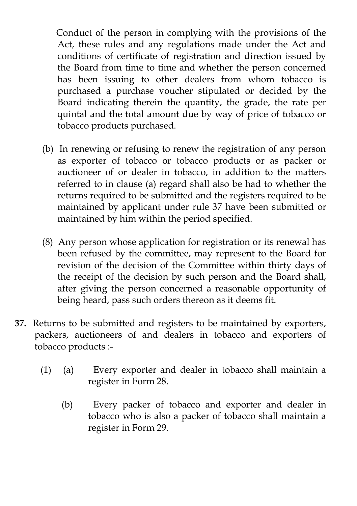Conduct of the person in complying with the provisions of the Act, these rules and any regulations made under the Act and conditions of certificate of registration and direction issued by the Board from time to time and whether the person concerned has been issuing to other dealers from whom tobacco is purchased a purchase voucher stipulated or decided by the Board indicating therein the quantity, the grade, the rate per quintal and the total amount due by way of price of tobacco or tobacco products purchased.

- (b) In renewing or refusing to renew the registration of any person as exporter of tobacco or tobacco products or as packer or auctioneer of or dealer in tobacco, in addition to the matters referred to in clause (a) regard shall also be had to whether the returns required to be submitted and the registers required to be maintained by applicant under rule 37 have been submitted or maintained by him within the period specified.
- (8) Any person whose application for registration or its renewal has been refused by the committee, may represent to the Board for revision of the decision of the Committee within thirty days of the receipt of the decision by such person and the Board shall, after giving the person concerned a reasonable opportunity of being heard, pass such orders thereon as it deems fit.
- **37.** Returns to be submitted and registers to be maintained by exporters, packers, auctioneers of and dealers in tobacco and exporters of tobacco products :-
	- (1) (a) Every exporter and dealer in tobacco shall maintain a register in Form 28.
		- (b) Every packer of tobacco and exporter and dealer in tobacco who is also a packer of tobacco shall maintain a register in Form 29.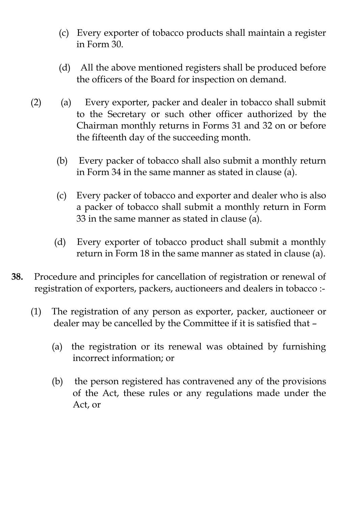- (c) Every exporter of tobacco products shall maintain a register in Form 30.
- (d) All the above mentioned registers shall be produced before the officers of the Board for inspection on demand.
- (2) (a) Every exporter, packer and dealer in tobacco shall submit to the Secretary or such other officer authorized by the Chairman monthly returns in Forms 31 and 32 on or before the fifteenth day of the succeeding month.
	- (b) Every packer of tobacco shall also submit a monthly return in Form 34 in the same manner as stated in clause (a).
	- (c) Every packer of tobacco and exporter and dealer who is also a packer of tobacco shall submit a monthly return in Form 33 in the same manner as stated in clause (a).
	- (d) Every exporter of tobacco product shall submit a monthly return in Form 18 in the same manner as stated in clause (a).
- **38.** Procedure and principles for cancellation of registration or renewal of registration of exporters, packers, auctioneers and dealers in tobacco :-
	- (1) The registration of any person as exporter, packer, auctioneer or dealer may be cancelled by the Committee if it is satisfied that –
		- (a) the registration or its renewal was obtained by furnishing incorrect information; or
		- (b) the person registered has contravened any of the provisions of the Act, these rules or any regulations made under the Act, or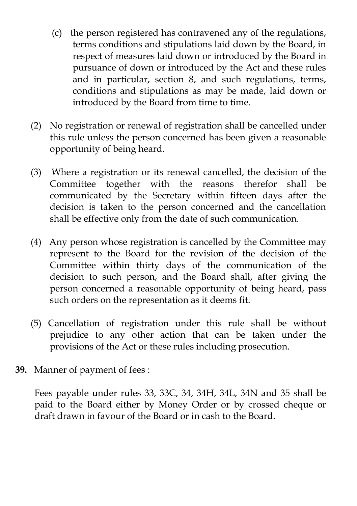- (c) the person registered has contravened any of the regulations, terms conditions and stipulations laid down by the Board, in respect of measures laid down or introduced by the Board in pursuance of down or introduced by the Act and these rules and in particular, section 8, and such regulations, terms, conditions and stipulations as may be made, laid down or introduced by the Board from time to time.
- (2) No registration or renewal of registration shall be cancelled under this rule unless the person concerned has been given a reasonable opportunity of being heard.
- (3) Where a registration or its renewal cancelled, the decision of the Committee together with the reasons therefor shall be communicated by the Secretary within fifteen days after the decision is taken to the person concerned and the cancellation shall be effective only from the date of such communication.
- (4) Any person whose registration is cancelled by the Committee may represent to the Board for the revision of the decision of the Committee within thirty days of the communication of the decision to such person, and the Board shall, after giving the person concerned a reasonable opportunity of being heard, pass such orders on the representation as it deems fit.
- (5) Cancellation of registration under this rule shall be without prejudice to any other action that can be taken under the provisions of the Act or these rules including prosecution.
- **39.** Manner of payment of fees :

Fees payable under rules 33, 33C, 34, 34H, 34L, 34N and 35 shall be paid to the Board either by Money Order or by crossed cheque or draft drawn in favour of the Board or in cash to the Board.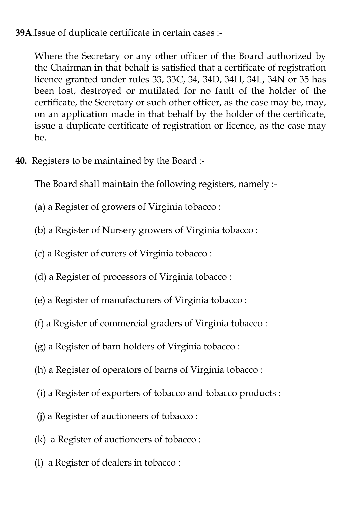**39A**.Issue of duplicate certificate in certain cases :-

Where the Secretary or any other officer of the Board authorized by the Chairman in that behalf is satisfied that a certificate of registration licence granted under rules 33, 33C, 34, 34D, 34H, 34L, 34N or 35 has been lost, destroyed or mutilated for no fault of the holder of the certificate, the Secretary or such other officer, as the case may be, may, on an application made in that behalf by the holder of the certificate, issue a duplicate certificate of registration or licence, as the case may be.

**40.** Registers to be maintained by the Board :-

The Board shall maintain the following registers, namely :-

- (a) a Register of growers of Virginia tobacco :
- (b) a Register of Nursery growers of Virginia tobacco :
- (c) a Register of curers of Virginia tobacco :
- (d) a Register of processors of Virginia tobacco :
- (e) a Register of manufacturers of Virginia tobacco :
- (f) a Register of commercial graders of Virginia tobacco :
- (g) a Register of barn holders of Virginia tobacco :
- (h) a Register of operators of barns of Virginia tobacco :
- (i) a Register of exporters of tobacco and tobacco products :
- (j) a Register of auctioneers of tobacco :
- (k) a Register of auctioneers of tobacco :
- (l) a Register of dealers in tobacco :